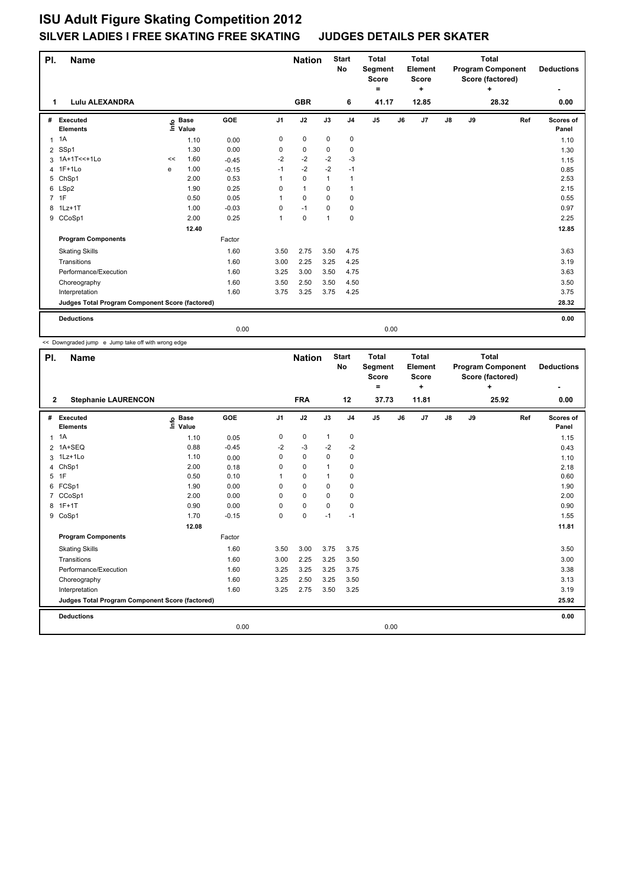| PI.            | <b>Name</b>                                     |      |                      |            |                | <b>Nation</b> |              | <b>Start</b><br>No | <b>Total</b><br>Segment<br><b>Score</b><br>= |    | <b>Total</b><br>Element<br><b>Score</b><br>÷ |               |    | <b>Total</b><br><b>Program Component</b><br>Score (factored)<br>÷ |     | <b>Deductions</b>  |
|----------------|-------------------------------------------------|------|----------------------|------------|----------------|---------------|--------------|--------------------|----------------------------------------------|----|----------------------------------------------|---------------|----|-------------------------------------------------------------------|-----|--------------------|
| 1              | <b>Lulu ALEXANDRA</b>                           |      |                      |            |                | <b>GBR</b>    |              | 6                  | 41.17                                        |    | 12.85                                        |               |    | 28.32                                                             |     | 0.00               |
| #              | Executed<br><b>Elements</b>                     | Life | <b>Base</b><br>Value | <b>GOE</b> | J <sub>1</sub> | J2            | J3           | J <sub>4</sub>     | J <sub>5</sub>                               | J6 | J7                                           | $\mathsf{J}8$ | J9 |                                                                   | Ref | Scores of<br>Panel |
| $\mathbf{1}$   | 1A                                              |      | 1.10                 | 0.00       | 0              | $\pmb{0}$     | $\mathbf 0$  | $\pmb{0}$          |                                              |    |                                              |               |    |                                                                   |     | 1.10               |
| $\overline{2}$ | SSp1                                            |      | 1.30                 | 0.00       | 0              | 0             | 0            | 0                  |                                              |    |                                              |               |    |                                                                   |     | 1.30               |
|                | 3 1A+1T<<+1Lo                                   | <<   | 1.60                 | $-0.45$    | $-2$           | $-2$          | $-2$         | -3                 |                                              |    |                                              |               |    |                                                                   |     | 1.15               |
| $\overline{4}$ | $1F+1Lo$                                        | e    | 1.00                 | $-0.15$    | $-1$           | $-2$          | $-2$         | $-1$               |                                              |    |                                              |               |    |                                                                   |     | 0.85               |
| 5              | ChSp1                                           |      | 2.00                 | 0.53       |                | $\mathbf 0$   | $\mathbf{1}$ | $\mathbf{1}$       |                                              |    |                                              |               |    |                                                                   |     | 2.53               |
| 6              | LSp2                                            |      | 1.90                 | 0.25       | 0              | $\mathbf{1}$  | 0            | $\overline{1}$     |                                              |    |                                              |               |    |                                                                   |     | 2.15               |
|                | 7 1F                                            |      | 0.50                 | 0.05       |                | $\mathbf 0$   | $\mathbf 0$  | $\mathbf 0$        |                                              |    |                                              |               |    |                                                                   |     | 0.55               |
| 8              | $1Lz+1T$                                        |      | 1.00                 | $-0.03$    | 0              | $-1$          | 0            | 0                  |                                              |    |                                              |               |    |                                                                   |     | 0.97               |
| 9              | CCoSp1                                          |      | 2.00                 | 0.25       | 1              | $\pmb{0}$     | 1            | $\pmb{0}$          |                                              |    |                                              |               |    |                                                                   |     | 2.25               |
|                |                                                 |      | 12.40                |            |                |               |              |                    |                                              |    |                                              |               |    |                                                                   |     | 12.85              |
|                | <b>Program Components</b>                       |      |                      | Factor     |                |               |              |                    |                                              |    |                                              |               |    |                                                                   |     |                    |
|                | <b>Skating Skills</b>                           |      |                      | 1.60       | 3.50           | 2.75          | 3.50         | 4.75               |                                              |    |                                              |               |    |                                                                   |     | 3.63               |
|                | Transitions                                     |      |                      | 1.60       | 3.00           | 2.25          | 3.25         | 4.25               |                                              |    |                                              |               |    |                                                                   |     | 3.19               |
|                | Performance/Execution                           |      |                      | 1.60       | 3.25           | 3.00          | 3.50         | 4.75               |                                              |    |                                              |               |    |                                                                   |     | 3.63               |
|                | Choreography                                    |      |                      | 1.60       | 3.50           | 2.50          | 3.50         | 4.50               |                                              |    |                                              |               |    |                                                                   |     | 3.50               |
|                | Interpretation                                  |      |                      | 1.60       | 3.75           | 3.25          | 3.75         | 4.25               |                                              |    |                                              |               |    |                                                                   |     | 3.75               |
|                | Judges Total Program Component Score (factored) |      |                      |            |                |               |              |                    |                                              |    |                                              |               |    |                                                                   |     | 28.32              |
|                | <b>Deductions</b>                               |      |                      |            |                |               |              |                    |                                              |    |                                              |               |    |                                                                   |     | 0.00               |
|                |                                                 |      |                      | 0.00       |                |               |              |                    | 0.00                                         |    |                                              |               |    |                                                                   |     |                    |

<< Downgraded jump e Jump take off with wrong edge

| PI.            | Name                                            |                                                          |            |                | <b>Nation</b> |              | <b>Start</b><br>No | <b>Total</b><br>Segment<br><b>Score</b><br>۰ |    | <b>Total</b><br>Element<br><b>Score</b><br>÷ |               |    | <b>Total</b><br><b>Program Component</b><br>Score (factored)<br>÷ |     | <b>Deductions</b><br>۰ |
|----------------|-------------------------------------------------|----------------------------------------------------------|------------|----------------|---------------|--------------|--------------------|----------------------------------------------|----|----------------------------------------------|---------------|----|-------------------------------------------------------------------|-----|------------------------|
| $\mathbf{2}$   | <b>Stephanie LAURENCON</b>                      |                                                          |            |                | <b>FRA</b>    |              | 12                 | 37.73                                        |    | 11.81                                        |               |    | 25.92                                                             |     | 0.00                   |
| #              | Executed<br><b>Elements</b>                     | <b>Base</b><br>$\mathop{\mathsf{Irr}}\nolimits$<br>Value | <b>GOE</b> | J <sub>1</sub> | J2            | J3           | J <sub>4</sub>     | J <sub>5</sub>                               | J6 | J7                                           | $\mathsf{J}8$ | J9 |                                                                   | Ref | Scores of<br>Panel     |
| 1              | 1A                                              | 1.10                                                     | 0.05       | 0              | $\mathbf 0$   | $\mathbf{1}$ | 0                  |                                              |    |                                              |               |    |                                                                   |     | 1.15                   |
| $\overline{2}$ | 1A+SEQ                                          | 0.88                                                     | $-0.45$    | $-2$           | $-3$          | $-2$         | $-2$               |                                              |    |                                              |               |    |                                                                   |     | 0.43                   |
|                | 3 1Lz+1Lo                                       | 1.10                                                     | 0.00       | 0              | $\mathbf 0$   | $\mathbf 0$  | $\mathbf 0$        |                                              |    |                                              |               |    |                                                                   |     | 1.10                   |
| 4              | ChSp1                                           | 2.00                                                     | 0.18       | 0              | $\mathbf 0$   | $\mathbf{1}$ | $\mathbf 0$        |                                              |    |                                              |               |    |                                                                   |     | 2.18                   |
| 5              | 1F                                              | 0.50                                                     | 0.10       | 1              | $\mathbf 0$   | $\mathbf{1}$ | $\mathbf 0$        |                                              |    |                                              |               |    |                                                                   |     | 0.60                   |
| 6              | FCSp1                                           | 1.90                                                     | 0.00       | $\mathbf 0$    | $\mathbf 0$   | $\mathbf 0$  | $\mathbf 0$        |                                              |    |                                              |               |    |                                                                   |     | 1.90                   |
| 7              | CCoSp1                                          | 2.00                                                     | 0.00       | 0              | 0             | $\Omega$     | 0                  |                                              |    |                                              |               |    |                                                                   |     | 2.00                   |
| 8              | $1F+1T$                                         | 0.90                                                     | 0.00       | 0              | $\pmb{0}$     | $\mathbf 0$  | $\mathbf 0$        |                                              |    |                                              |               |    |                                                                   |     | 0.90                   |
|                | 9 CoSp1                                         | 1.70                                                     | $-0.15$    | $\mathbf 0$    | $\mathbf 0$   | $-1$         | $-1$               |                                              |    |                                              |               |    |                                                                   |     | 1.55                   |
|                |                                                 | 12.08                                                    |            |                |               |              |                    |                                              |    |                                              |               |    |                                                                   |     | 11.81                  |
|                | <b>Program Components</b>                       |                                                          | Factor     |                |               |              |                    |                                              |    |                                              |               |    |                                                                   |     |                        |
|                | <b>Skating Skills</b>                           |                                                          | 1.60       | 3.50           | 3.00          | 3.75         | 3.75               |                                              |    |                                              |               |    |                                                                   |     | 3.50                   |
|                | Transitions                                     |                                                          | 1.60       | 3.00           | 2.25          | 3.25         | 3.50               |                                              |    |                                              |               |    |                                                                   |     | 3.00                   |
|                | Performance/Execution                           |                                                          | 1.60       | 3.25           | 3.25          | 3.25         | 3.75               |                                              |    |                                              |               |    |                                                                   |     | 3.38                   |
|                | Choreography                                    |                                                          | 1.60       | 3.25           | 2.50          | 3.25         | 3.50               |                                              |    |                                              |               |    |                                                                   |     | 3.13                   |
|                | Interpretation                                  |                                                          | 1.60       | 3.25           | 2.75          | 3.50         | 3.25               |                                              |    |                                              |               |    |                                                                   |     | 3.19                   |
|                | Judges Total Program Component Score (factored) |                                                          |            |                |               |              |                    |                                              |    |                                              |               |    |                                                                   |     | 25.92                  |
|                | <b>Deductions</b>                               |                                                          |            |                |               |              |                    |                                              |    |                                              |               |    |                                                                   |     | 0.00                   |
|                |                                                 |                                                          | 0.00       |                |               |              |                    | 0.00                                         |    |                                              |               |    |                                                                   |     |                        |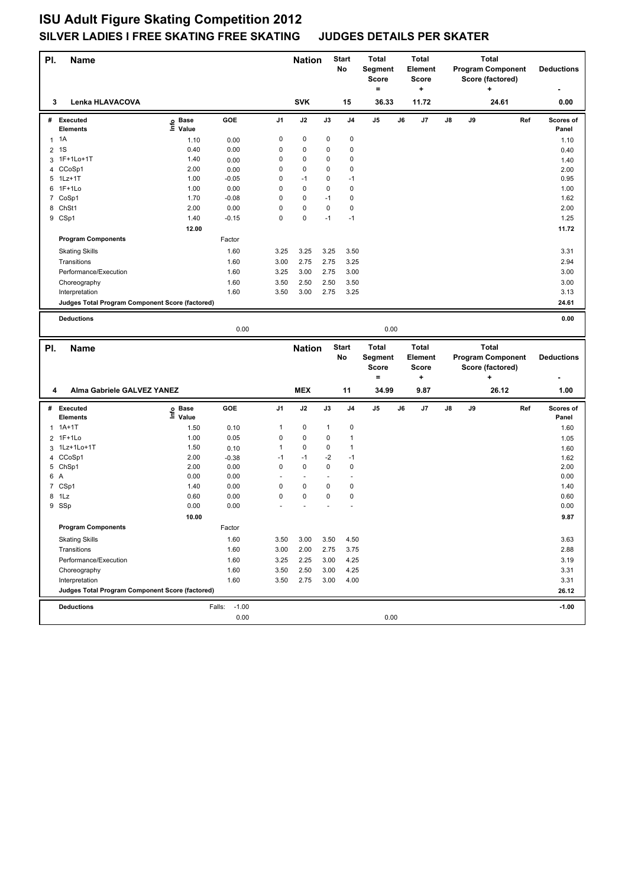| PI.                 | <b>Name</b>                                     |                                  |                           |                | <b>Nation</b>     |              | <b>Start</b><br>No   | <b>Total</b><br>Segment<br><b>Score</b> | <b>Total</b><br>Element<br>Score |    |    | <b>Total</b><br><b>Program Component</b><br>Score (factored) |     | <b>Deductions</b> |
|---------------------|-------------------------------------------------|----------------------------------|---------------------------|----------------|-------------------|--------------|----------------------|-----------------------------------------|----------------------------------|----|----|--------------------------------------------------------------|-----|-------------------|
| 3                   | Lenka HLAVACOVA                                 |                                  |                           |                | <b>SVK</b>        |              | 15                   | $=$<br>36.33                            | +<br>11.72                       |    |    | ٠<br>24.61                                                   |     | 0.00              |
|                     | # Executed                                      | <b>Base</b><br>e Base<br>≞ Value | GOE                       | J1             | J2                | J3           | J <sub>4</sub>       | J5                                      | J6<br>J7                         | J8 | J9 |                                                              | Ref | Scores of         |
|                     | <b>Elements</b>                                 |                                  |                           |                |                   |              |                      |                                         |                                  |    |    |                                                              |     | Panel             |
|                     | $1 \t1A$                                        | 1.10                             | 0.00                      | 0              | 0                 | 0            | 0                    |                                         |                                  |    |    |                                                              |     | 1.10              |
| $\overline{2}$      | 1S                                              | 0.40                             | 0.00                      | 0              | $\mathbf 0$       | 0            | $\mathbf 0$          |                                         |                                  |    |    |                                                              |     | 0.40              |
|                     | 3 1F+1Lo+1T                                     | 1.40                             | 0.00                      | 0              | $\mathbf 0$       | 0            | $\mathbf 0$          |                                         |                                  |    |    |                                                              |     | 1.40              |
| 4                   | CCoSp1                                          | 2.00                             | 0.00                      | 0              | 0                 | 0            | $\mathbf 0$          |                                         |                                  |    |    |                                                              |     | 2.00              |
|                     | 5 1Lz+1T<br>6 1F+1Lo                            | 1.00<br>1.00                     | $-0.05$                   | 0<br>0         | $-1$<br>$\pmb{0}$ | 0<br>0       | $-1$<br>$\mathbf 0$  |                                         |                                  |    |    |                                                              |     | 0.95              |
|                     | 7 CoSp1                                         | 1.70                             | 0.00<br>$-0.08$           | 0              | $\pmb{0}$         | $-1$         | $\mathbf 0$          |                                         |                                  |    |    |                                                              |     | 1.00<br>1.62      |
| 8                   | ChSt1                                           | 2.00                             | 0.00                      | 0              | $\pmb{0}$         | 0            | $\mathbf 0$          |                                         |                                  |    |    |                                                              |     | 2.00              |
|                     | 9 CSp1                                          | 1.40                             | $-0.15$                   | 0              | 0                 | $-1$         | $-1$                 |                                         |                                  |    |    |                                                              |     | 1.25              |
|                     |                                                 | 12.00                            |                           |                |                   |              |                      |                                         |                                  |    |    |                                                              |     | 11.72             |
|                     | <b>Program Components</b>                       |                                  | Factor                    |                |                   |              |                      |                                         |                                  |    |    |                                                              |     |                   |
|                     | <b>Skating Skills</b>                           |                                  | 1.60                      | 3.25           | 3.25              | 3.25         | 3.50                 |                                         |                                  |    |    |                                                              |     | 3.31              |
|                     | Transitions                                     |                                  | 1.60                      | 3.00           | 2.75              | 2.75         | 3.25                 |                                         |                                  |    |    |                                                              |     | 2.94              |
|                     | Performance/Execution                           |                                  | 1.60                      | 3.25           | 3.00              | 2.75         | 3.00                 |                                         |                                  |    |    |                                                              |     | 3.00              |
|                     | Choreography                                    |                                  | 1.60                      | 3.50           | 2.50              | 2.50         | 3.50                 |                                         |                                  |    |    |                                                              |     | 3.00              |
|                     | Interpretation                                  |                                  | 1.60                      | 3.50           | 3.00              | 2.75         | 3.25                 |                                         |                                  |    |    |                                                              |     | 3.13              |
|                     | Judges Total Program Component Score (factored) |                                  |                           |                |                   |              |                      |                                         |                                  |    |    |                                                              |     | 24.61             |
|                     |                                                 |                                  |                           |                |                   |              |                      |                                         |                                  |    |    |                                                              |     |                   |
|                     | <b>Deductions</b>                               |                                  |                           |                |                   |              |                      |                                         |                                  |    |    |                                                              |     | 0.00              |
|                     |                                                 |                                  | 0.00                      |                |                   |              |                      | 0.00                                    |                                  |    |    |                                                              |     |                   |
|                     |                                                 |                                  |                           |                |                   |              |                      |                                         |                                  |    |    |                                                              |     |                   |
|                     |                                                 |                                  |                           |                |                   |              | <b>Start</b>         | <b>Total</b>                            | <b>Total</b>                     |    |    | <b>Total</b>                                                 |     |                   |
| PI.                 | <b>Name</b>                                     |                                  |                           |                | <b>Nation</b>     |              | No                   | Segment                                 | Element                          |    |    | <b>Program Component</b>                                     |     | <b>Deductions</b> |
|                     |                                                 |                                  |                           |                |                   |              |                      | <b>Score</b>                            | <b>Score</b>                     |    |    | Score (factored)                                             |     |                   |
|                     |                                                 |                                  |                           |                |                   |              |                      | $\equiv$                                | +                                |    |    | ÷                                                            |     |                   |
| 4                   | Alma Gabriele GALVEZ YANEZ                      |                                  |                           |                | <b>MEX</b>        |              | 11                   | 34.99                                   | 9.87                             |    |    | 26.12                                                        |     | 1.00              |
|                     |                                                 |                                  |                           |                |                   |              |                      |                                         |                                  |    |    |                                                              |     |                   |
|                     | # Executed                                      | <b>Base</b>                      | GOE                       | J <sub>1</sub> | J2                | J3           | J <sub>4</sub>       | J <sub>5</sub>                          | J6<br>J7                         | J8 | J9 |                                                              | Ref | Scores of         |
|                     | <b>Elements</b>                                 | ١nfo<br>Value                    |                           |                |                   |              |                      |                                         |                                  |    |    |                                                              |     | Panel             |
| $\mathbf{1}$        | $1A+1T$                                         | 1.50                             | 0.10                      | 1              | 0                 | $\mathbf{1}$ | $\pmb{0}$            |                                         |                                  |    |    |                                                              |     | 1.60              |
|                     | 2 1F+1Lo                                        | 1.00                             | 0.05                      | 0              | $\pmb{0}$         | 0            | $\mathbf{1}$         |                                         |                                  |    |    |                                                              |     | 1.05              |
| 3<br>$\overline{4}$ | 1Lz+1Lo+1T<br>CCoSp1                            | 1.50<br>2.00                     | 0.10                      | 1<br>$-1$      | 0<br>$-1$         | 0<br>$-2$    | $\mathbf{1}$<br>$-1$ |                                         |                                  |    |    |                                                              |     | 1.60              |
|                     | 5 ChSp1                                         | 2.00                             | $-0.38$<br>0.00           | 0              | $\mathbf 0$       | 0            | $\mathbf 0$          |                                         |                                  |    |    |                                                              |     | 1.62<br>2.00      |
| 6 A                 |                                                 | 0.00                             | 0.00                      | ÷,             | $\blacksquare$    |              | ÷,                   |                                         |                                  |    |    |                                                              |     | 0.00              |
|                     | 7 CSp1                                          | 1.40                             | 0.00                      | 0              | 0                 | 0            | $\mathbf 0$          |                                         |                                  |    |    |                                                              |     | 1.40              |
| 8                   | 1Lz                                             | 0.60                             | 0.00                      | 0              | 0                 | 0            | $\mathbf 0$          |                                         |                                  |    |    |                                                              |     | 0.60              |
|                     | 9 SSp                                           | 0.00                             | 0.00                      |                |                   |              |                      |                                         |                                  |    |    |                                                              |     | 0.00              |
|                     |                                                 | 10.00                            |                           |                |                   |              |                      |                                         |                                  |    |    |                                                              |     | 9.87              |
|                     | <b>Program Components</b>                       |                                  | Factor                    |                |                   |              |                      |                                         |                                  |    |    |                                                              |     |                   |
|                     | <b>Skating Skills</b>                           |                                  | 1.60                      | 3.50           | 3.00              | 3.50         | 4.50                 |                                         |                                  |    |    |                                                              |     | 3.63              |
|                     | Transitions                                     |                                  | 1.60                      | 3.00           | 2.00              | 2.75         | 3.75                 |                                         |                                  |    |    |                                                              |     | 2.88              |
|                     | Performance/Execution                           |                                  | 1.60                      | 3.25           | 2.25              | 3.00         | 4.25                 |                                         |                                  |    |    |                                                              |     | 3.19              |
|                     | Choreography                                    |                                  | 1.60                      | 3.50           | 2.50              | 3.00         | 4.25                 |                                         |                                  |    |    |                                                              |     | 3.31              |
|                     | Interpretation                                  |                                  | 1.60                      | 3.50           | 2.75              | 3.00         | 4.00                 |                                         |                                  |    |    |                                                              |     | 3.31              |
|                     | Judges Total Program Component Score (factored) |                                  |                           |                |                   |              |                      |                                         |                                  |    |    |                                                              |     | 26.12             |
|                     |                                                 |                                  |                           |                |                   |              |                      |                                         |                                  |    |    |                                                              |     |                   |
|                     | <b>Deductions</b>                               |                                  | $-1.00$<br>Falls:<br>0.00 |                |                   |              |                      | 0.00                                    |                                  |    |    |                                                              |     | $-1.00$           |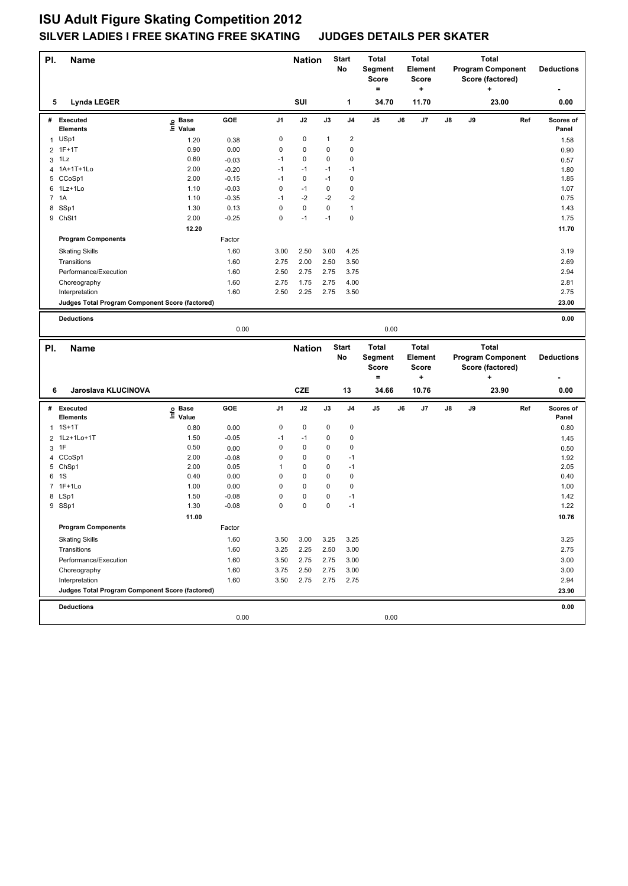| PI.            | <b>Name</b>                                     |                            |         |                | <b>Nation</b> |              | <b>Start</b><br>No | <b>Total</b><br>Segment<br><b>Score</b><br>$=$ | <b>Total</b><br><b>Element</b><br><b>Score</b><br>+ |    |    | <b>Total</b><br><b>Program Component</b><br>Score (factored)<br>٠ |     | <b>Deductions</b>  |
|----------------|-------------------------------------------------|----------------------------|---------|----------------|---------------|--------------|--------------------|------------------------------------------------|-----------------------------------------------------|----|----|-------------------------------------------------------------------|-----|--------------------|
| 5              | <b>Lynda LEGER</b>                              |                            |         |                | SUI           |              | 1                  | 34.70                                          | 11.70                                               |    |    | 23.00                                                             |     | 0.00               |
|                | # Executed<br><b>Elements</b>                   | <b>Base</b><br>۴ê<br>Value | GOE     | J <sub>1</sub> | J2            | J3           | J <sub>4</sub>     | J5                                             | J6<br>J7                                            | J8 | J9 |                                                                   | Ref | Scores of<br>Panel |
|                | 1 USp1                                          | 1.20                       | 0.38    | 0              | 0             | $\mathbf{1}$ | $\boldsymbol{2}$   |                                                |                                                     |    |    |                                                                   |     | 1.58               |
| $\overline{2}$ | $1F+1T$                                         | 0.90                       | 0.00    | 0              | 0             | 0            | 0                  |                                                |                                                     |    |    |                                                                   |     | 0.90               |
|                | $3$ 1Lz                                         | 0.60                       | $-0.03$ | $-1$           | 0             | 0            | 0                  |                                                |                                                     |    |    |                                                                   |     | 0.57               |
| 4              | 1A+1T+1Lo                                       | 2.00                       | $-0.20$ | $-1$           | $-1$          | $-1$         | $-1$               |                                                |                                                     |    |    |                                                                   |     | 1.80               |
|                | 5 CCoSp1                                        | 2.00                       | $-0.15$ | $-1$           | 0             | $-1$         | $\mathbf 0$        |                                                |                                                     |    |    |                                                                   |     | 1.85               |
| 6              | 1Lz+1Lo                                         | 1.10                       | $-0.03$ | 0              | $-1$          | 0            | $\pmb{0}$          |                                                |                                                     |    |    |                                                                   |     | 1.07               |
|                | 7 1A                                            | 1.10                       | $-0.35$ | $-1$           | $-2$          | $-2$         | $-2$               |                                                |                                                     |    |    |                                                                   |     | 0.75               |
| 8              | SSp1                                            | 1.30                       | 0.13    | 0              | 0             | 0            | $\mathbf{1}$       |                                                |                                                     |    |    |                                                                   |     | 1.43               |
|                | 9 ChSt1                                         | 2.00                       | $-0.25$ | 0              | $-1$          | $-1$         | 0                  |                                                |                                                     |    |    |                                                                   |     | 1.75               |
|                |                                                 | 12.20                      |         |                |               |              |                    |                                                |                                                     |    |    |                                                                   |     | 11.70              |
|                | <b>Program Components</b>                       |                            | Factor  |                |               |              |                    |                                                |                                                     |    |    |                                                                   |     |                    |
|                | <b>Skating Skills</b>                           |                            | 1.60    | 3.00           | 2.50          | 3.00         | 4.25               |                                                |                                                     |    |    |                                                                   |     | 3.19               |
|                | Transitions                                     |                            | 1.60    | 2.75           | 2.00          | 2.50         | 3.50               |                                                |                                                     |    |    |                                                                   |     | 2.69               |
|                | Performance/Execution                           |                            | 1.60    | 2.50           | 2.75          | 2.75         | 3.75               |                                                |                                                     |    |    |                                                                   |     | 2.94               |
|                | Choreography                                    |                            | 1.60    | 2.75           | 1.75          | 2.75         | 4.00               |                                                |                                                     |    |    |                                                                   |     | 2.81               |
|                | Interpretation                                  |                            | 1.60    | 2.50           | 2.25          | 2.75         | 3.50               |                                                |                                                     |    |    |                                                                   |     | 2.75               |
|                | Judges Total Program Component Score (factored) |                            |         |                |               |              |                    |                                                |                                                     |    |    |                                                                   |     | 23.00              |
|                |                                                 |                            |         |                |               |              |                    |                                                |                                                     |    |    |                                                                   |     |                    |
|                | <b>Deductions</b>                               |                            |         |                |               |              |                    |                                                |                                                     |    |    |                                                                   |     | 0.00               |
|                |                                                 |                            | 0.00    |                |               |              |                    | 0.00                                           |                                                     |    |    |                                                                   |     |                    |
|                |                                                 |                            |         |                |               |              |                    |                                                |                                                     |    |    |                                                                   |     |                    |
|                |                                                 |                            |         |                |               |              |                    |                                                | Total                                               |    |    | <b>Total</b>                                                      |     |                    |
| PI.            | <b>Name</b>                                     |                            |         |                | <b>Nation</b> |              | <b>Start</b><br>No | Total<br>Segment                               | <b>Element</b>                                      |    |    | <b>Program Component</b>                                          |     | <b>Deductions</b>  |
|                |                                                 |                            |         |                |               |              |                    | <b>Score</b>                                   | <b>Score</b>                                        |    |    | Score (factored)                                                  |     |                    |
|                |                                                 |                            |         |                |               |              |                    | $=$                                            | ÷                                                   |    |    | ٠                                                                 |     |                    |
| 6              | Jaroslava KLUCINOVA                             |                            |         |                | <b>CZE</b>    |              | 13                 | 34.66                                          | 10.76                                               |    |    | 23.90                                                             |     | 0.00               |
|                |                                                 |                            |         |                |               |              |                    |                                                |                                                     |    |    |                                                                   |     |                    |
|                | # Executed                                      | <b>Base</b>                | GOE     | J <sub>1</sub> | J2            | J3           | J <sub>4</sub>     | $\mathsf{J}5$                                  | J6<br>J7                                            | J8 | J9 |                                                                   | Ref | Scores of          |
|                | <b>Elements</b>                                 | e Base<br>⊑ Value          |         |                |               |              |                    |                                                |                                                     |    |    |                                                                   |     | Panel              |
| $\mathbf{1}$   | $1S+1T$                                         | 0.80                       | 0.00    | 0              | 0             | 0            | $\mathbf 0$        |                                                |                                                     |    |    |                                                                   |     | 0.80               |
|                | 2 1Lz+1Lo+1T                                    | 1.50                       | $-0.05$ | $-1$           | $-1$          | 0            | $\pmb{0}$          |                                                |                                                     |    |    |                                                                   |     | 1.45               |
| 3              | 1F                                              | 0.50                       | 0.00    | 0              | 0             | 0            | 0                  |                                                |                                                     |    |    |                                                                   |     | 0.50               |
| 4              | CCoSp1                                          | 2.00                       | $-0.08$ | 0              | 0             | 0            | $-1$               |                                                |                                                     |    |    |                                                                   |     | 1.92               |
|                | 5 ChSp1                                         | 2.00                       | 0.05    | 1              | 0             | 0            | $-1$               |                                                |                                                     |    |    |                                                                   |     | 2.05               |
| 6              | 1S                                              | 0.40                       | 0.00    | 0              | 0             | 0            | $\pmb{0}$          |                                                |                                                     |    |    |                                                                   |     | 0.40               |
|                | 7 1F+1Lo                                        | 1.00                       | 0.00    | 0              | 0             | 0            | $\pmb{0}$          |                                                |                                                     |    |    |                                                                   |     | 1.00               |
| 8              | LSp1                                            | 1.50                       | $-0.08$ | 0              | 0             | 0            | -1                 |                                                |                                                     |    |    |                                                                   |     | 1.42               |
|                | 9 SSp1                                          | 1.30                       | $-0.08$ | 0              | 0             | 0            | $-1$               |                                                |                                                     |    |    |                                                                   |     | 1.22               |
|                |                                                 | 11.00                      |         |                |               |              |                    |                                                |                                                     |    |    |                                                                   |     | 10.76              |
|                | <b>Program Components</b>                       |                            | Factor  |                |               |              |                    |                                                |                                                     |    |    |                                                                   |     |                    |
|                | <b>Skating Skills</b>                           |                            | 1.60    | 3.50           | 3.00          | 3.25         | 3.25               |                                                |                                                     |    |    |                                                                   |     | 3.25               |
|                | Transitions                                     |                            | 1.60    | 3.25           | 2.25          | 2.50         | 3.00               |                                                |                                                     |    |    |                                                                   |     | 2.75               |
|                | Performance/Execution                           |                            | 1.60    | 3.50           | 2.75          | 2.75         | 3.00               |                                                |                                                     |    |    |                                                                   |     | 3.00               |
|                | Choreography                                    |                            | 1.60    | 3.75           | 2.50          | 2.75         | 3.00               |                                                |                                                     |    |    |                                                                   |     | 3.00               |
|                | Interpretation                                  |                            | 1.60    | 3.50           | 2.75          | 2.75         | 2.75               |                                                |                                                     |    |    |                                                                   |     | 2.94               |
|                | Judges Total Program Component Score (factored) |                            |         |                |               |              |                    |                                                |                                                     |    |    |                                                                   |     | 23.90              |
|                | <b>Deductions</b>                               |                            |         |                |               |              |                    |                                                |                                                     |    |    |                                                                   |     | 0.00               |
|                |                                                 |                            | 0.00    |                |               |              |                    | 0.00                                           |                                                     |    |    |                                                                   |     |                    |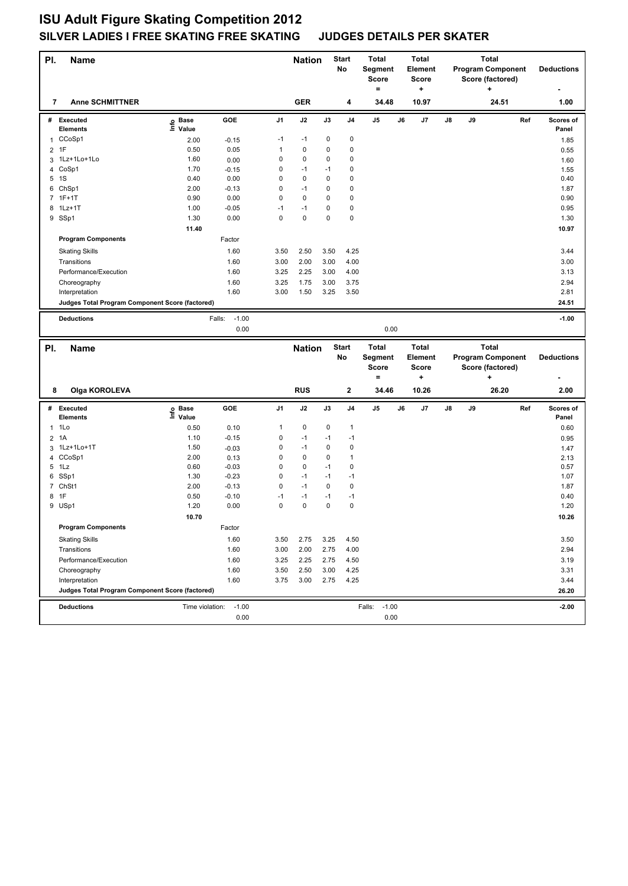| PI.            | <b>Name</b>                                     |                                  |                   |                | <b>Nation</b> |             | <b>Start</b><br>No | <b>Total</b><br>Segment<br>Score<br>$=$ |    | <b>Total</b><br>Element<br>Score<br>÷ |    |    | <b>Total</b><br>Score (factored)<br>+ | <b>Program Component</b> | <b>Deductions</b>  |
|----------------|-------------------------------------------------|----------------------------------|-------------------|----------------|---------------|-------------|--------------------|-----------------------------------------|----|---------------------------------------|----|----|---------------------------------------|--------------------------|--------------------|
| 7              | <b>Anne SCHMITTNER</b>                          |                                  |                   |                | <b>GER</b>    |             | 4                  | 34.48                                   |    | 10.97                                 |    |    | 24.51                                 |                          | 1.00               |
|                | # Executed<br>Elements                          | <b>Base</b><br>e Base<br>⊑ Value | GOE               | J1             | J2            | J3          | J4                 | J5                                      | J6 | J7                                    | J8 | J9 |                                       | Ref                      | Scores of<br>Panel |
|                | 1 CCoSp1                                        | 2.00                             | $-0.15$           | $-1$           | $-1$          | 0           | 0                  |                                         |    |                                       |    |    |                                       |                          | 1.85               |
| $\overline{2}$ | 1F                                              | 0.50                             | 0.05              | 1              | $\pmb{0}$     | 0           | $\mathbf 0$        |                                         |    |                                       |    |    |                                       |                          | 0.55               |
|                | 3 1Lz+1Lo+1Lo                                   | 1.60                             | 0.00              | 0              | $\pmb{0}$     | 0           | $\mathbf 0$        |                                         |    |                                       |    |    |                                       |                          | 1.60               |
|                | 4 CoSp1                                         | 1.70                             | $-0.15$           | 0              | -1            | $-1$        | $\mathbf 0$        |                                         |    |                                       |    |    |                                       |                          | 1.55               |
|                | 5 1S                                            | 0.40                             | 0.00              | 0              | $\mathbf 0$   | 0           | 0                  |                                         |    |                                       |    |    |                                       |                          | 0.40               |
| 6              | ChSp1                                           | 2.00                             | $-0.13$           | 0              | $-1$          | 0           | $\mathbf 0$        |                                         |    |                                       |    |    |                                       |                          | 1.87               |
|                | 7 1F+1T                                         | 0.90                             | 0.00              | 0              | $\pmb{0}$     | 0           | $\mathbf 0$        |                                         |    |                                       |    |    |                                       |                          | 0.90               |
| 8              | $1$ Lz $+1$ T                                   | 1.00                             | $-0.05$           | $-1$           | $-1$          | 0           | $\mathbf 0$        |                                         |    |                                       |    |    |                                       |                          | 0.95               |
|                | 9 SSp1                                          | 1.30                             | 0.00              | 0              | 0             | 0           | $\mathbf 0$        |                                         |    |                                       |    |    |                                       |                          | 1.30               |
|                |                                                 | 11.40                            |                   |                |               |             |                    |                                         |    |                                       |    |    |                                       |                          | 10.97              |
|                | <b>Program Components</b>                       |                                  | Factor            |                |               |             |                    |                                         |    |                                       |    |    |                                       |                          |                    |
|                | <b>Skating Skills</b>                           |                                  | 1.60              | 3.50           | 2.50          | 3.50        | 4.25               |                                         |    |                                       |    |    |                                       |                          | 3.44               |
|                | Transitions                                     |                                  | 1.60              | 3.00           | 2.00          | 3.00        | 4.00               |                                         |    |                                       |    |    |                                       |                          | 3.00               |
|                | Performance/Execution                           |                                  | 1.60              | 3.25           | 2.25          | 3.00        | 4.00               |                                         |    |                                       |    |    |                                       |                          | 3.13               |
|                | Choreography                                    |                                  | 1.60              | 3.25           | 1.75          | 3.00        | 3.75               |                                         |    |                                       |    |    |                                       |                          | 2.94               |
|                | Interpretation                                  |                                  | 1.60              | 3.00           | 1.50          | 3.25        | 3.50               |                                         |    |                                       |    |    |                                       |                          | 2.81               |
|                | Judges Total Program Component Score (factored) |                                  |                   |                |               |             |                    |                                         |    |                                       |    |    |                                       |                          | 24.51              |
|                |                                                 |                                  |                   |                |               |             |                    |                                         |    |                                       |    |    |                                       |                          |                    |
|                | <b>Deductions</b>                               |                                  | $-1.00$<br>Falls: |                |               |             |                    |                                         |    |                                       |    |    |                                       |                          | $-1.00$            |
|                |                                                 |                                  | 0.00              |                |               |             |                    | 0.00                                    |    |                                       |    |    |                                       |                          |                    |
|                |                                                 |                                  |                   |                |               |             |                    |                                         |    |                                       |    |    |                                       |                          |                    |
|                |                                                 |                                  |                   |                |               |             |                    |                                         |    |                                       |    |    |                                       |                          |                    |
| PI.            | <b>Name</b>                                     |                                  |                   |                | <b>Nation</b> |             | <b>Start</b>       | <b>Total</b>                            |    | <b>Total</b>                          |    |    | <b>Total</b>                          |                          |                    |
|                |                                                 |                                  |                   |                |               |             | No                 | Segment<br><b>Score</b>                 |    | Element<br><b>Score</b>               |    |    |                                       | <b>Program Component</b> | <b>Deductions</b>  |
|                |                                                 |                                  |                   |                |               |             |                    | $=$                                     |    | ÷                                     |    |    | Score (factored)<br>٠                 |                          |                    |
|                |                                                 |                                  |                   |                |               |             |                    |                                         |    |                                       |    |    |                                       |                          |                    |
| 8              | Olga KOROLEVA                                   |                                  |                   |                | <b>RUS</b>    |             | $\mathbf 2$        | 34.46                                   |    | 10.26                                 |    |    | 26.20                                 |                          | 2.00               |
| #              | Executed                                        |                                  | GOE               | J <sub>1</sub> | J2            | J3          | J <sub>4</sub>     | J5                                      | J6 | J7                                    | J8 | J9 |                                       | Ref                      | Scores of          |
|                | Elements                                        | e Base<br>⊑ Value                |                   |                |               |             |                    |                                         |    |                                       |    |    |                                       |                          | Panel              |
| 1              | 1Lo                                             | 0.50                             | 0.10              | 1              | 0             | 0           | $\mathbf{1}$       |                                         |    |                                       |    |    |                                       |                          | 0.60               |
|                | 2 1A                                            | 1.10                             | $-0.15$           | 0              | $-1$          | $-1$        | $-1$               |                                         |    |                                       |    |    |                                       |                          | 0.95               |
| 3              | 1Lz+1Lo+1T                                      | 1.50                             | $-0.03$           | 0              | $-1$          | 0           | 0                  |                                         |    |                                       |    |    |                                       |                          | 1.47               |
| $\overline{4}$ | CCoSp1                                          | 2.00                             | 0.13              | 0              | $\mathbf 0$   | 0           | $\mathbf{1}$       |                                         |    |                                       |    |    |                                       |                          | 2.13               |
|                | 5 1Lz                                           | 0.60                             | $-0.03$           | 0              | $\mathbf 0$   | $-1$        | $\mathbf 0$        |                                         |    |                                       |    |    |                                       |                          | 0.57               |
| 6              | SSp1                                            | 1.30                             | $-0.23$           | 0              | $-1$          | $-1$        | $-1$               |                                         |    |                                       |    |    |                                       |                          | 1.07               |
| $\overline{7}$ | ChSt1                                           | 2.00                             | $-0.13$           | 0              | $-1$          | 0           | $\mathbf 0$        |                                         |    |                                       |    |    |                                       |                          | 1.87               |
| 8              | 1F                                              | 0.50                             | $-0.10$           | $-1$           | $-1$          | $-1$        | $-1$               |                                         |    |                                       |    |    |                                       |                          | 0.40               |
|                | 9 USp1                                          | 1.20                             | 0.00              | 0              | 0             | $\mathbf 0$ | $\mathbf 0$        |                                         |    |                                       |    |    |                                       |                          | 1.20               |
|                |                                                 | 10.70                            |                   |                |               |             |                    |                                         |    |                                       |    |    |                                       |                          | 10.26              |
|                | <b>Program Components</b>                       |                                  | Factor            |                |               |             |                    |                                         |    |                                       |    |    |                                       |                          |                    |
|                | <b>Skating Skills</b>                           |                                  | 1.60              | 3.50           | 2.75          | 3.25        | 4.50               |                                         |    |                                       |    |    |                                       |                          | 3.50               |
|                | Transitions                                     |                                  | 1.60              | 3.00           | 2.00          | 2.75        | 4.00               |                                         |    |                                       |    |    |                                       |                          | 2.94               |
|                | Performance/Execution                           |                                  | 1.60              | 3.25           | 2.25          | 2.75        | 4.50               |                                         |    |                                       |    |    |                                       |                          | 3.19               |
|                | Choreography                                    |                                  | 1.60              | 3.50           | 2.50          | 3.00        | 4.25               |                                         |    |                                       |    |    |                                       |                          | 3.31               |
|                | Interpretation                                  |                                  | 1.60              | 3.75           | 3.00          | 2.75        | 4.25               |                                         |    |                                       |    |    |                                       |                          | 3.44               |
|                | Judges Total Program Component Score (factored) |                                  |                   |                |               |             |                    |                                         |    |                                       |    |    |                                       |                          | 26.20              |
|                |                                                 |                                  |                   |                |               |             |                    |                                         |    |                                       |    |    |                                       |                          |                    |
|                | <b>Deductions</b>                               | Time violation:                  | $-1.00$<br>0.00   |                |               |             |                    | $-1.00$<br>Falls:<br>0.00               |    |                                       |    |    |                                       |                          | $-2.00$            |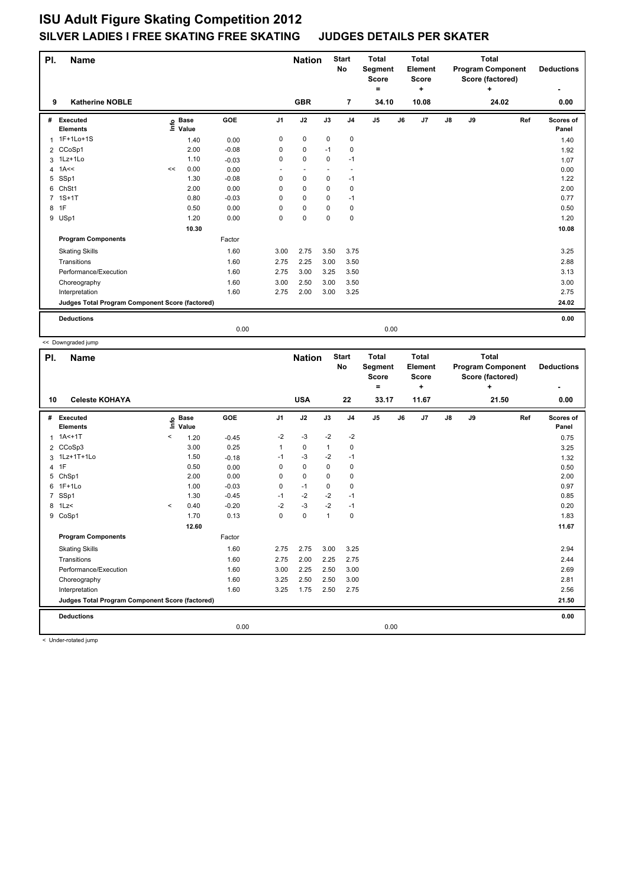| PI. | <b>Name</b>                                     |    |                            |         |                | <b>Nation</b>            |                          | <b>Start</b><br>No       | <b>Total</b><br><b>Segment</b><br><b>Score</b> |    | <b>Total</b><br><b>Element</b><br><b>Score</b> |               |    | <b>Total</b><br><b>Program Component</b><br>Score (factored) |     | <b>Deductions</b>         |
|-----|-------------------------------------------------|----|----------------------------|---------|----------------|--------------------------|--------------------------|--------------------------|------------------------------------------------|----|------------------------------------------------|---------------|----|--------------------------------------------------------------|-----|---------------------------|
|     |                                                 |    |                            |         |                |                          |                          |                          | $\equiv$                                       |    | ٠                                              |               |    | ٠                                                            |     | ٠                         |
| 9   | <b>Katherine NOBLE</b>                          |    |                            |         |                | <b>GBR</b>               |                          | $\overline{7}$           | 34.10                                          |    | 10.08                                          |               |    | 24.02                                                        |     | 0.00                      |
| #   | <b>Executed</b><br><b>Elements</b>              |    | e Base<br>⊆ Value<br>Value | GOE     | J <sub>1</sub> | J2                       | J3                       | J <sub>4</sub>           | J <sub>5</sub>                                 | J6 | J7                                             | $\mathsf{J}8$ | J9 |                                                              | Ref | <b>Scores of</b><br>Panel |
| 1   | 1F+1Lo+1S                                       |    | 1.40                       | 0.00    | 0              | $\pmb{0}$                | $\mathbf 0$              | $\pmb{0}$                |                                                |    |                                                |               |    |                                                              |     | 1.40                      |
|     | 2 CCoSp1                                        |    | 2.00                       | $-0.08$ | 0              | 0                        | $-1$                     | 0                        |                                                |    |                                                |               |    |                                                              |     | 1.92                      |
|     | 3 1Lz+1Lo                                       |    | 1.10                       | $-0.03$ | 0              | $\mathbf 0$              | 0                        | $-1$                     |                                                |    |                                                |               |    |                                                              |     | 1.07                      |
| 4   | 1A<<                                            | << | 0.00                       | 0.00    | ٠              | $\overline{\phantom{a}}$ | $\overline{\phantom{a}}$ | $\overline{\phantom{a}}$ |                                                |    |                                                |               |    |                                                              |     | 0.00                      |
| 5   | SSp1                                            |    | 1.30                       | $-0.08$ | 0              | $\mathbf 0$              | $\mathbf 0$              | $-1$                     |                                                |    |                                                |               |    |                                                              |     | 1.22                      |
| 6   | ChSt1                                           |    | 2.00                       | 0.00    | 0              | $\mathbf 0$              | 0                        | 0                        |                                                |    |                                                |               |    |                                                              |     | 2.00                      |
|     | $1S+1T$                                         |    | 0.80                       | $-0.03$ | 0              | 0                        | $\Omega$                 | $-1$                     |                                                |    |                                                |               |    |                                                              |     | 0.77                      |
|     | 8 1F                                            |    | 0.50                       | 0.00    | 0              | $\mathbf 0$              | 0                        | 0                        |                                                |    |                                                |               |    |                                                              |     | 0.50                      |
|     | 9 USp1                                          |    | 1.20                       | 0.00    | 0              | $\mathbf 0$              | $\Omega$                 | $\mathbf 0$              |                                                |    |                                                |               |    |                                                              |     | 1.20                      |
|     |                                                 |    | 10.30                      |         |                |                          |                          |                          |                                                |    |                                                |               |    |                                                              |     | 10.08                     |
|     | <b>Program Components</b>                       |    |                            | Factor  |                |                          |                          |                          |                                                |    |                                                |               |    |                                                              |     |                           |
|     | <b>Skating Skills</b>                           |    |                            | 1.60    | 3.00           | 2.75                     | 3.50                     | 3.75                     |                                                |    |                                                |               |    |                                                              |     | 3.25                      |
|     | Transitions                                     |    |                            | 1.60    | 2.75           | 2.25                     | 3.00                     | 3.50                     |                                                |    |                                                |               |    |                                                              |     | 2.88                      |
|     | Performance/Execution                           |    |                            | 1.60    | 2.75           | 3.00                     | 3.25                     | 3.50                     |                                                |    |                                                |               |    |                                                              |     | 3.13                      |
|     | Choreography                                    |    |                            | 1.60    | 3.00           | 2.50                     | 3.00                     | 3.50                     |                                                |    |                                                |               |    |                                                              |     | 3.00                      |
|     | Interpretation                                  |    |                            | 1.60    | 2.75           | 2.00                     | 3.00                     | 3.25                     |                                                |    |                                                |               |    |                                                              |     | 2.75                      |
|     | Judges Total Program Component Score (factored) |    |                            |         |                |                          |                          |                          |                                                |    |                                                |               |    |                                                              |     | 24.02                     |
|     | <b>Deductions</b>                               |    |                            |         |                |                          |                          |                          |                                                |    |                                                |               |    |                                                              |     | 0.00                      |
|     |                                                 |    |                            | 0.00    |                |                          |                          |                          | 0.00                                           |    |                                                |               |    |                                                              |     |                           |

<< Downgraded jump

| PI.            | <b>Name</b>                                     |         |                      |         |                | <b>Nation</b> |              | <b>Start</b><br><b>No</b> | <b>Total</b><br>Segment<br>Score<br>= | <b>Total</b><br>Element<br><b>Score</b><br>٠ |               |    | <b>Total</b><br><b>Program Component</b><br>Score (factored)<br>÷ | <b>Deductions</b><br>٠ |
|----------------|-------------------------------------------------|---------|----------------------|---------|----------------|---------------|--------------|---------------------------|---------------------------------------|----------------------------------------------|---------------|----|-------------------------------------------------------------------|------------------------|
| 10             | <b>Celeste KOHAYA</b>                           |         |                      |         |                | <b>USA</b>    |              | 22                        | 33.17                                 | 11.67                                        |               |    | 21.50                                                             | 0.00                   |
| #              | Executed<br><b>Elements</b>                     | ١m      | <b>Base</b><br>Value | GOE     | J <sub>1</sub> | J2            | J3           | J <sub>4</sub>            | J <sub>5</sub>                        | J6<br>J7                                     | $\mathsf{J}8$ | J9 | Ref                                                               | Scores of<br>Panel     |
|                | $1.1A<+1T$                                      | $\,<\,$ | 1.20                 | $-0.45$ | $-2$           | $-3$          | $-2$         | $-2$                      |                                       |                                              |               |    |                                                                   | 0.75                   |
|                | 2 CCoSp3                                        |         | 3.00                 | 0.25    | 1              | $\mathbf 0$   | $\mathbf{1}$ | $\mathbf 0$               |                                       |                                              |               |    |                                                                   | 3.25                   |
|                | 3 1Lz+1T+1Lo                                    |         | 1.50                 | $-0.18$ | $-1$           | $-3$          | $-2$         | $-1$                      |                                       |                                              |               |    |                                                                   | 1.32                   |
|                | 4 1F                                            |         | 0.50                 | 0.00    | 0              | 0             | 0            | 0                         |                                       |                                              |               |    |                                                                   | 0.50                   |
|                | 5 ChSp1                                         |         | 2.00                 | 0.00    | $\Omega$       | $\mathbf 0$   | $\Omega$     | 0                         |                                       |                                              |               |    |                                                                   | 2.00                   |
|                | 6 1F+1Lo                                        |         | 1.00                 | $-0.03$ | 0              | $-1$          | $\Omega$     | $\pmb{0}$                 |                                       |                                              |               |    |                                                                   | 0.97                   |
| $\overline{7}$ | SSp1                                            |         | 1.30                 | $-0.45$ | $-1$           | $-2$          | $-2$         | $-1$                      |                                       |                                              |               |    |                                                                   | 0.85                   |
|                | 8 1Lz<                                          | $\prec$ | 0.40                 | $-0.20$ | $-2$           | $-3$          | $-2$         | $-1$                      |                                       |                                              |               |    |                                                                   | 0.20                   |
|                | 9 CoSp1                                         |         | 1.70                 | 0.13    | 0              | $\mathbf 0$   | $\mathbf{1}$ | 0                         |                                       |                                              |               |    |                                                                   | 1.83                   |
|                |                                                 |         | 12.60                |         |                |               |              |                           |                                       |                                              |               |    |                                                                   | 11.67                  |
|                | <b>Program Components</b>                       |         |                      | Factor  |                |               |              |                           |                                       |                                              |               |    |                                                                   |                        |
|                | <b>Skating Skills</b>                           |         |                      | 1.60    | 2.75           | 2.75          | 3.00         | 3.25                      |                                       |                                              |               |    |                                                                   | 2.94                   |
|                | Transitions                                     |         |                      | 1.60    | 2.75           | 2.00          | 2.25         | 2.75                      |                                       |                                              |               |    |                                                                   | 2.44                   |
|                | Performance/Execution                           |         |                      | 1.60    | 3.00           | 2.25          | 2.50         | 3.00                      |                                       |                                              |               |    |                                                                   | 2.69                   |
|                | Choreography                                    |         |                      | 1.60    | 3.25           | 2.50          | 2.50         | 3.00                      |                                       |                                              |               |    |                                                                   | 2.81                   |
|                | Interpretation                                  |         |                      | 1.60    | 3.25           | 1.75          | 2.50         | 2.75                      |                                       |                                              |               |    |                                                                   | 2.56                   |
|                | Judges Total Program Component Score (factored) |         |                      |         |                |               |              |                           |                                       |                                              |               |    |                                                                   | 21.50                  |
|                | <b>Deductions</b>                               |         |                      |         |                |               |              |                           |                                       |                                              |               |    |                                                                   | 0.00                   |
|                |                                                 |         |                      | 0.00    |                |               |              |                           | 0.00                                  |                                              |               |    |                                                                   |                        |

< Under-rotated jump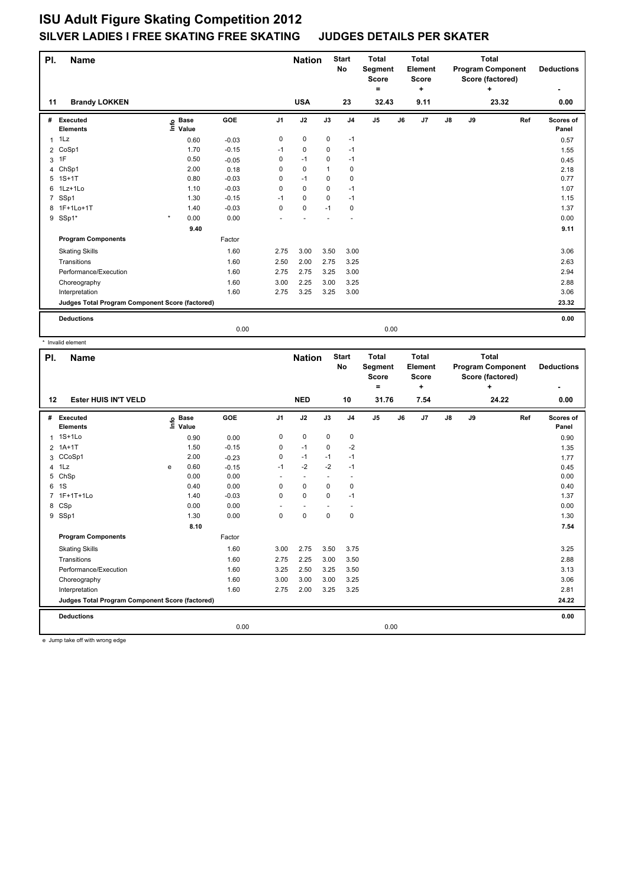| PI.            | Name                                            |                           |         |                | <b>Nation</b> |              | <b>Start</b><br>No | <b>Total</b><br>Segment<br>Score |    | <b>Total</b><br>Element<br><b>Score</b> |               |    | <b>Total</b><br><b>Program Component</b><br>Score (factored) |     | <b>Deductions</b>         |
|----------------|-------------------------------------------------|---------------------------|---------|----------------|---------------|--------------|--------------------|----------------------------------|----|-----------------------------------------|---------------|----|--------------------------------------------------------------|-----|---------------------------|
| 11             | <b>Brandy LOKKEN</b>                            |                           |         |                | <b>USA</b>    |              | 23                 | =<br>32.43                       |    | ٠<br>9.11                               |               |    | ٠<br>23.32                                                   |     | ٠<br>0.00                 |
|                |                                                 |                           |         |                |               |              |                    |                                  |    |                                         |               |    |                                                              |     |                           |
| #              | <b>Executed</b><br><b>Elements</b>              | <b>Base</b><br>e<br>Value | GOE     | J <sub>1</sub> | J2            | J3           | J <sub>4</sub>     | J <sub>5</sub>                   | J6 | J7                                      | $\mathsf{J}8$ | J9 |                                                              | Ref | <b>Scores of</b><br>Panel |
| $\mathbf{1}$   | 1Lz                                             | 0.60                      | $-0.03$ | 0              | $\pmb{0}$     | 0            | $-1$               |                                  |    |                                         |               |    |                                                              |     | 0.57                      |
|                | 2 CoSp1                                         | 1.70                      | $-0.15$ | $-1$           | 0             | 0            | $-1$               |                                  |    |                                         |               |    |                                                              |     | 1.55                      |
| 3              | 1F                                              | 0.50                      | $-0.05$ | 0              | $-1$          | 0            | $-1$               |                                  |    |                                         |               |    |                                                              |     | 0.45                      |
| 4              | ChSp1                                           | 2.00                      | 0.18    | 0              | $\mathbf 0$   | $\mathbf{1}$ | 0                  |                                  |    |                                         |               |    |                                                              |     | 2.18                      |
| 5              | $1S+1T$                                         | 0.80                      | $-0.03$ | 0              | $-1$          | 0            | $\mathbf 0$        |                                  |    |                                         |               |    |                                                              |     | 0.77                      |
| 6              | 1Lz+1Lo                                         | 1.10                      | $-0.03$ | 0              | $\mathbf 0$   | 0            | $-1$               |                                  |    |                                         |               |    |                                                              |     | 1.07                      |
| $\overline{7}$ | SSp1                                            | 1.30                      | $-0.15$ | $-1$           | 0             | 0            | $-1$               |                                  |    |                                         |               |    |                                                              |     | 1.15                      |
|                | 8 1F+1Lo+1T                                     | 1.40                      | $-0.03$ | 0              | $\mathbf 0$   | $-1$         | 0                  |                                  |    |                                         |               |    |                                                              |     | 1.37                      |
|                | 9 SSp1*                                         | $\star$<br>0.00           | 0.00    |                |               |              |                    |                                  |    |                                         |               |    |                                                              |     | 0.00                      |
|                |                                                 | 9.40                      |         |                |               |              |                    |                                  |    |                                         |               |    |                                                              |     | 9.11                      |
|                | <b>Program Components</b>                       |                           | Factor  |                |               |              |                    |                                  |    |                                         |               |    |                                                              |     |                           |
|                | <b>Skating Skills</b>                           |                           | 1.60    | 2.75           | 3.00          | 3.50         | 3.00               |                                  |    |                                         |               |    |                                                              |     | 3.06                      |
|                | Transitions                                     |                           | 1.60    | 2.50           | 2.00          | 2.75         | 3.25               |                                  |    |                                         |               |    |                                                              |     | 2.63                      |
|                | Performance/Execution                           |                           | 1.60    | 2.75           | 2.75          | 3.25         | 3.00               |                                  |    |                                         |               |    |                                                              |     | 2.94                      |
|                | Choreography                                    |                           | 1.60    | 3.00           | 2.25          | 3.00         | 3.25               |                                  |    |                                         |               |    |                                                              |     | 2.88                      |
|                | Interpretation                                  |                           | 1.60    | 2.75           | 3.25          | 3.25         | 3.00               |                                  |    |                                         |               |    |                                                              |     | 3.06                      |
|                | Judges Total Program Component Score (factored) |                           |         |                |               |              |                    |                                  |    |                                         |               |    |                                                              |     | 23.32                     |
|                | <b>Deductions</b>                               |                           |         |                |               |              |                    |                                  |    |                                         |               |    |                                                              |     | 0.00                      |
|                |                                                 |                           | 0.00    |                |               |              |                    | 0.00                             |    |                                         |               |    |                                                              |     |                           |

\* Invalid element

|                | invalid element                                                                  |                                  |                      |            |                |                          |                          |                           |                                         |    |                                  |               |    |                                                              |                    |
|----------------|----------------------------------------------------------------------------------|----------------------------------|----------------------|------------|----------------|--------------------------|--------------------------|---------------------------|-----------------------------------------|----|----------------------------------|---------------|----|--------------------------------------------------------------|--------------------|
| PI.            | <b>Name</b>                                                                      |                                  |                      |            |                | <b>Nation</b>            |                          | <b>Start</b><br><b>No</b> | <b>Total</b><br>Segment<br><b>Score</b> |    | <b>Total</b><br>Element<br>Score |               |    | <b>Total</b><br><b>Program Component</b><br>Score (factored) | <b>Deductions</b>  |
|                |                                                                                  |                                  |                      |            |                |                          |                          |                           | $\equiv$                                |    | ÷                                |               |    | ÷                                                            | ۰                  |
| 12             | <b>Ester HUIS IN'T VELD</b>                                                      |                                  |                      |            |                | <b>NED</b>               |                          | 10                        | 31.76                                   |    | 7.54                             |               |    | 24.22                                                        | 0.00               |
| #              | Executed<br><b>Elements</b>                                                      | $\mathop{\mathsf{Irr}}\nolimits$ | <b>Base</b><br>Value | <b>GOE</b> | J <sub>1</sub> | J2                       | J3                       | J <sub>4</sub>            | $\mathsf{J}5$                           | J6 | J7                               | $\mathsf{J}8$ | J9 | Ref                                                          | Scores of<br>Panel |
|                | 1 1S+1Lo                                                                         |                                  | 0.90                 | 0.00       | 0              | 0                        | 0                        | 0                         |                                         |    |                                  |               |    |                                                              | 0.90               |
|                | 2 1A+1T                                                                          |                                  | 1.50                 | $-0.15$    | 0              | $-1$                     | $\Omega$                 | $-2$                      |                                         |    |                                  |               |    |                                                              | 1.35               |
| 3              | CCoSp1                                                                           |                                  | 2.00                 | $-0.23$    | 0              | $-1$                     | $-1$                     | $-1$                      |                                         |    |                                  |               |    |                                                              | 1.77               |
| 4              | 1Lz                                                                              | e                                | 0.60                 | $-0.15$    | $-1$           | $-2$                     | $-2$                     | $-1$                      |                                         |    |                                  |               |    |                                                              | 0.45               |
| 5              | ChSp                                                                             |                                  | 0.00                 | 0.00       | ٠              | $\sim$                   | $\overline{\phantom{a}}$ | $\overline{\phantom{a}}$  |                                         |    |                                  |               |    |                                                              | 0.00               |
| 6              | 1S                                                                               |                                  | 0.40                 | 0.00       | 0              | $\mathbf 0$              | $\Omega$                 | $\mathbf 0$               |                                         |    |                                  |               |    |                                                              | 0.40               |
| $\overline{7}$ | 1F+1T+1Lo                                                                        |                                  | 1.40                 | $-0.03$    | 0              | $\mathbf 0$              | $\mathbf 0$              | $-1$                      |                                         |    |                                  |               |    |                                                              | 1.37               |
|                | 8 CSp                                                                            |                                  | 0.00                 | 0.00       |                | $\overline{\phantom{a}}$ | $\overline{\phantom{a}}$ | $\overline{\phantom{a}}$  |                                         |    |                                  |               |    |                                                              | 0.00               |
|                | 9 SSp1                                                                           |                                  | 1.30                 | 0.00       | 0              | 0                        | 0                        | 0                         |                                         |    |                                  |               |    |                                                              | 1.30               |
|                |                                                                                  |                                  | 8.10                 |            |                |                          |                          |                           |                                         |    |                                  |               |    |                                                              | 7.54               |
|                | <b>Program Components</b>                                                        |                                  |                      | Factor     |                |                          |                          |                           |                                         |    |                                  |               |    |                                                              |                    |
|                | <b>Skating Skills</b>                                                            |                                  |                      | 1.60       | 3.00           | 2.75                     | 3.50                     | 3.75                      |                                         |    |                                  |               |    |                                                              | 3.25               |
|                | Transitions                                                                      |                                  |                      | 1.60       | 2.75           | 2.25                     | 3.00                     | 3.50                      |                                         |    |                                  |               |    |                                                              | 2.88               |
|                | Performance/Execution                                                            |                                  |                      | 1.60       | 3.25           | 2.50                     | 3.25                     | 3.50                      |                                         |    |                                  |               |    |                                                              | 3.13               |
|                | Choreography                                                                     |                                  |                      | 1.60       | 3.00           | 3.00                     | 3.00                     | 3.25                      |                                         |    |                                  |               |    |                                                              | 3.06               |
|                | Interpretation                                                                   |                                  |                      | 1.60       | 2.75           | 2.00                     | 3.25                     | 3.25                      |                                         |    |                                  |               |    |                                                              | 2.81               |
|                | Judges Total Program Component Score (factored)                                  |                                  |                      |            |                |                          |                          |                           |                                         |    |                                  |               |    |                                                              | 24.22              |
|                | <b>Deductions</b>                                                                |                                  |                      |            |                |                          |                          |                           |                                         |    |                                  |               |    |                                                              | 0.00               |
|                |                                                                                  |                                  |                      | 0.00       |                |                          |                          |                           | 0.00                                    |    |                                  |               |    |                                                              |                    |
|                | $\mathbf{r}$ and $\mathbf{r}$ and $\mathbf{r}$ and $\mathbf{r}$ and $\mathbf{r}$ |                                  |                      |            |                |                          |                          |                           |                                         |    |                                  |               |    |                                                              |                    |

e Jump take off with wrong edge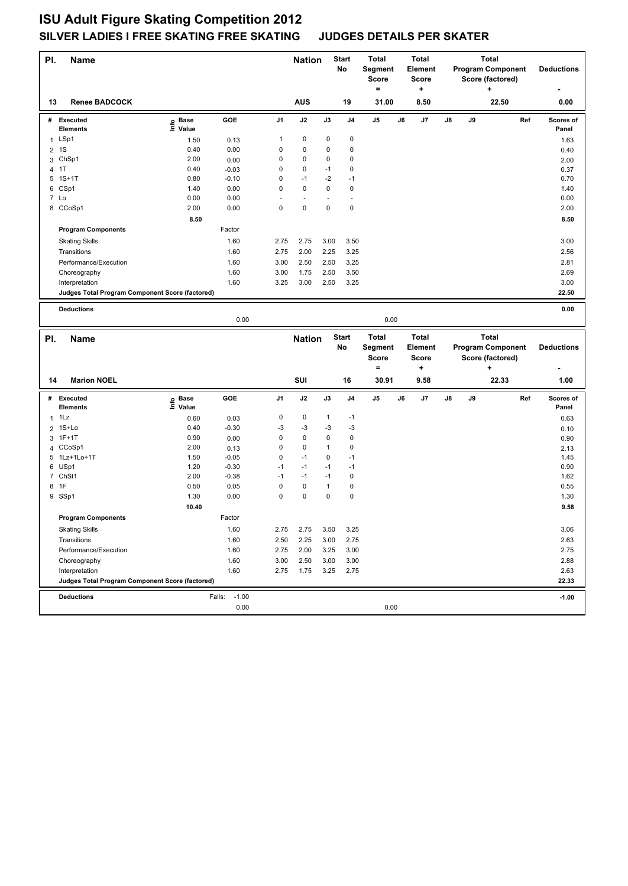| PI.            | <b>Name</b>                                     |                                  |                           |      | <b>Nation</b>            |              | <b>Start</b><br>No | <b>Total</b><br>Segment<br>Score |    | <b>Total</b><br>Element<br><b>Score</b> |    |    | <b>Total</b> | <b>Program Component</b><br>Score (factored) |     | <b>Deductions</b>  |
|----------------|-------------------------------------------------|----------------------------------|---------------------------|------|--------------------------|--------------|--------------------|----------------------------------|----|-----------------------------------------|----|----|--------------|----------------------------------------------|-----|--------------------|
| 13             | <b>Renee BADCOCK</b>                            |                                  |                           |      | <b>AUS</b>               |              | 19                 | $\equiv$<br>31.00                |    | +<br>8.50                               |    |    | ÷            | 22.50                                        |     | 0.00               |
|                |                                                 |                                  |                           |      |                          |              |                    |                                  |    |                                         |    |    |              |                                              |     |                    |
|                | # Executed<br><b>Elements</b>                   | <b>Base</b><br>e Base<br>⊆ Value | GOE                       | J1   | J2                       | J3           | J <sub>4</sub>     | J5                               | J6 | J7                                      | J8 | J9 |              |                                              | Ref | Scores of<br>Panel |
|                | 1 LSp1                                          | 1.50                             | 0.13                      | 1    | 0                        | 0            | 0                  |                                  |    |                                         |    |    |              |                                              |     | 1.63               |
| $\overline{2}$ | 1S                                              | 0.40                             | 0.00                      | 0    | 0                        | 0            | $\mathbf 0$        |                                  |    |                                         |    |    |              |                                              |     | 0.40               |
|                | 3 ChSp1                                         | 2.00                             | 0.00                      | 0    | 0                        | 0            | $\mathbf 0$        |                                  |    |                                         |    |    |              |                                              |     | 2.00               |
| 4              | 1T                                              | 0.40                             | $-0.03$                   | 0    | 0                        | $-1$         | $\mathbf 0$        |                                  |    |                                         |    |    |              |                                              |     | 0.37               |
|                | 5 1S+1T                                         | 0.80                             | $-0.10$                   | 0    | $-1$                     | $-2$         | $-1$               |                                  |    |                                         |    |    |              |                                              |     | 0.70               |
|                | 6 CSp1                                          | 1.40                             | 0.00                      | 0    | 0                        | 0            | $\mathbf 0$        |                                  |    |                                         |    |    |              |                                              |     | 1.40               |
| 7 Lo           |                                                 | 0.00                             | 0.00                      | ÷,   | $\overline{\phantom{a}}$ |              | ٠                  |                                  |    |                                         |    |    |              |                                              |     | 0.00               |
|                | 8 CCoSp1                                        | 2.00                             | 0.00                      | 0    | 0                        | 0            | $\mathbf 0$        |                                  |    |                                         |    |    |              |                                              |     | 2.00               |
|                |                                                 | 8.50                             |                           |      |                          |              |                    |                                  |    |                                         |    |    |              |                                              |     | 8.50               |
|                | <b>Program Components</b>                       |                                  | Factor                    |      |                          |              |                    |                                  |    |                                         |    |    |              |                                              |     |                    |
|                | <b>Skating Skills</b>                           |                                  | 1.60                      | 2.75 | 2.75                     | 3.00         | 3.50               |                                  |    |                                         |    |    |              |                                              |     | 3.00               |
|                | Transitions                                     |                                  | 1.60                      | 2.75 | 2.00                     | 2.25         | 3.25               |                                  |    |                                         |    |    |              |                                              |     | 2.56               |
|                | Performance/Execution                           |                                  | 1.60                      | 3.00 | 2.50                     | 2.50         | 3.25               |                                  |    |                                         |    |    |              |                                              |     | 2.81               |
|                | Choreography                                    |                                  | 1.60                      | 3.00 | 1.75                     | 2.50         | 3.50               |                                  |    |                                         |    |    |              |                                              |     | 2.69               |
|                | Interpretation                                  |                                  | 1.60                      | 3.25 | 3.00                     | 2.50         | 3.25               |                                  |    |                                         |    |    |              |                                              |     | 3.00               |
|                | Judges Total Program Component Score (factored) |                                  |                           |      |                          |              |                    |                                  |    |                                         |    |    |              |                                              |     | 22.50              |
|                | <b>Deductions</b>                               |                                  |                           |      |                          |              |                    |                                  |    |                                         |    |    |              |                                              |     | 0.00               |
|                |                                                 |                                  |                           |      |                          |              |                    | 0.00                             |    |                                         |    |    |              |                                              |     |                    |
|                |                                                 |                                  | 0.00                      |      |                          |              |                    |                                  |    |                                         |    |    |              |                                              |     |                    |
|                |                                                 |                                  |                           |      |                          |              |                    |                                  |    |                                         |    |    |              |                                              |     |                    |
| PI.            | <b>Name</b>                                     |                                  |                           |      | <b>Nation</b>            |              | <b>Start</b>       | <b>Total</b>                     |    | <b>Total</b>                            |    |    | <b>Total</b> |                                              |     |                    |
|                |                                                 |                                  |                           |      |                          |              | No                 | Segment                          |    | Element                                 |    |    |              | <b>Program Component</b>                     |     | <b>Deductions</b>  |
|                |                                                 |                                  |                           |      |                          |              |                    | Score                            |    | <b>Score</b>                            |    |    |              | Score (factored)                             |     |                    |
|                |                                                 |                                  |                           |      |                          |              |                    | $=$                              |    | ÷                                       |    |    | ÷            |                                              |     | ٠                  |
| 14             | <b>Marion NOEL</b>                              |                                  |                           |      | SUI                      |              | 16                 | 30.91                            |    | 9.58                                    |    |    |              | 22.33                                        |     | 1.00               |
|                | # Executed                                      | <b>Base</b>                      | GOE                       | J1   | J2                       | J3           | J4                 | J5                               | J6 | J7                                      | J8 | J9 |              |                                              | Ref | Scores of          |
|                | <b>Elements</b>                                 | e Base<br>E Value                |                           |      |                          |              |                    |                                  |    |                                         |    |    |              |                                              |     | Panel              |
|                | $1$ 1 Lz                                        | 0.60                             | 0.03                      | 0    | 0                        | 1            | $-1$               |                                  |    |                                         |    |    |              |                                              |     | 0.63               |
| 2              | 1S+Lo                                           | 0.40                             | $-0.30$                   | $-3$ | $-3$                     | $-3$         | $-3$               |                                  |    |                                         |    |    |              |                                              |     | 0.10               |
|                | 3 1F+1T                                         | 0.90                             | 0.00                      | 0    | $\pmb{0}$                | 0            | $\mathbf 0$        |                                  |    |                                         |    |    |              |                                              |     | 0.90               |
| 4              | CCoSp1                                          | 2.00                             | 0.13                      | 0    | 0                        | 1            | 0                  |                                  |    |                                         |    |    |              |                                              |     | 2.13               |
|                | 5 1Lz+1Lo+1T                                    | 1.50                             | $-0.05$                   | 0    | $-1$                     | 0            | $-1$               |                                  |    |                                         |    |    |              |                                              |     | 1.45               |
|                | 6 USp1                                          | 1.20                             | $-0.30$                   | $-1$ | $-1$                     | $-1$         | $-1$               |                                  |    |                                         |    |    |              |                                              |     | 0.90               |
|                | 7 ChSt1                                         | 2.00                             | $-0.38$                   | $-1$ | $-1$                     | $-1$         | $\mathbf 0$        |                                  |    |                                         |    |    |              |                                              |     | 1.62               |
| 8 1F           |                                                 | 0.50                             | 0.05                      | 0    | 0                        | $\mathbf{1}$ | $\pmb{0}$          |                                  |    |                                         |    |    |              |                                              |     | 0.55               |
|                | 9 SSp1                                          | 1.30                             | 0.00                      | 0    | 0                        | 0            | $\mathbf 0$        |                                  |    |                                         |    |    |              |                                              |     | 1.30               |
|                |                                                 | 10.40                            |                           |      |                          |              |                    |                                  |    |                                         |    |    |              |                                              |     | 9.58               |
|                | <b>Program Components</b>                       |                                  | Factor                    |      |                          |              |                    |                                  |    |                                         |    |    |              |                                              |     |                    |
|                | <b>Skating Skills</b>                           |                                  | 1.60                      | 2.75 | 2.75                     | 3.50         | 3.25               |                                  |    |                                         |    |    |              |                                              |     | 3.06               |
|                | Transitions                                     |                                  | 1.60                      | 2.50 | 2.25                     | 3.00         | 2.75               |                                  |    |                                         |    |    |              |                                              |     | 2.63               |
|                | Performance/Execution                           |                                  | 1.60                      | 2.75 | 2.00                     | 3.25         | 3.00               |                                  |    |                                         |    |    |              |                                              |     | 2.75               |
|                | Choreography                                    |                                  | 1.60                      | 3.00 | 2.50                     | 3.00         | 3.00               |                                  |    |                                         |    |    |              |                                              |     | 2.88               |
|                | Interpretation                                  |                                  | 1.60                      | 2.75 | 1.75                     | 3.25         | 2.75               |                                  |    |                                         |    |    |              |                                              |     | 2.63               |
|                | Judges Total Program Component Score (factored) |                                  |                           |      |                          |              |                    |                                  |    |                                         |    |    |              |                                              |     | 22.33              |
|                | <b>Deductions</b>                               |                                  | $-1.00$<br>Falls:<br>0.00 |      |                          |              |                    |                                  |    |                                         |    |    |              |                                              |     | $-1.00$            |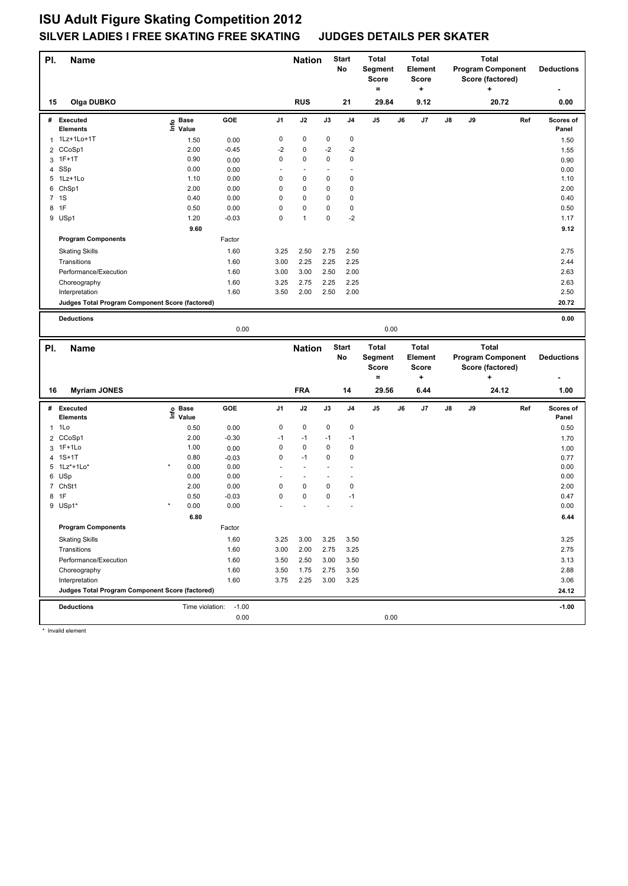| PI.          | <b>Name</b>                                     |                   |                 |                          | <b>Nation</b>            |      | Start<br>No              | <b>Total</b><br>Segment<br><b>Score</b><br>$=$ |    | <b>Total</b><br>Element<br>Score<br>۰. |    |    | <b>Total</b><br><b>Program Component</b><br>Score (factored)<br>٠ |     | <b>Deductions</b>  |
|--------------|-------------------------------------------------|-------------------|-----------------|--------------------------|--------------------------|------|--------------------------|------------------------------------------------|----|----------------------------------------|----|----|-------------------------------------------------------------------|-----|--------------------|
| 15           | Olga DUBKO                                      |                   |                 |                          | <b>RUS</b>               |      | 21                       | 29.84                                          |    | 9.12                                   |    |    | 20.72                                                             |     | 0.00               |
|              | # Executed<br><b>Elements</b>                   | e Base<br>⊑ Value | GOE             | J <sub>1</sub>           | J2                       | J3   | J <sub>4</sub>           | J5                                             | J6 | J7                                     | J8 | J9 |                                                                   | Ref | Scores of<br>Panel |
|              | 1 1Lz+1Lo+1T                                    | 1.50              | 0.00            | 0                        | 0                        | 0    | 0                        |                                                |    |                                        |    |    |                                                                   |     | 1.50               |
|              | 2 CCoSp1                                        | 2.00              | $-0.45$         | $-2$                     | 0                        | $-2$ | $-2$                     |                                                |    |                                        |    |    |                                                                   |     | 1.55               |
|              | 3 1F+1T                                         | 0.90              | 0.00            | $\mathsf 0$              | 0                        | 0    | 0                        |                                                |    |                                        |    |    |                                                                   |     | 0.90               |
|              | 4 SSp                                           | 0.00              | 0.00            | $\overline{\phantom{a}}$ | $\sim$                   |      | $\ddot{\phantom{1}}$     |                                                |    |                                        |    |    |                                                                   |     | 0.00               |
|              | 5 1Lz+1Lo                                       | 1.10              | 0.00            | 0                        | 0                        | 0    | 0                        |                                                |    |                                        |    |    |                                                                   |     | 1.10               |
|              | 6 ChSp1                                         | 2.00              | 0.00            | 0                        | 0                        | 0    | 0                        |                                                |    |                                        |    |    |                                                                   |     | 2.00               |
|              | 7 1S                                            | 0.40              | 0.00            | $\mathsf 0$              | 0                        | 0    | 0                        |                                                |    |                                        |    |    |                                                                   |     | 0.40               |
|              | 8 1F                                            | 0.50              | 0.00            | $\mathsf 0$              | 0                        | 0    | 0                        |                                                |    |                                        |    |    |                                                                   |     | 0.50               |
|              | 9 USp1                                          | 1.20              | $-0.03$         | 0                        | $\mathbf{1}$             | 0    | $-2$                     |                                                |    |                                        |    |    |                                                                   |     | 1.17               |
|              |                                                 | 9.60              |                 |                          |                          |      |                          |                                                |    |                                        |    |    |                                                                   |     | 9.12               |
|              | <b>Program Components</b>                       |                   | Factor          |                          |                          |      |                          |                                                |    |                                        |    |    |                                                                   |     |                    |
|              |                                                 |                   | 1.60            | 3.25                     | 2.50                     | 2.75 | 2.50                     |                                                |    |                                        |    |    |                                                                   |     | 2.75               |
|              | <b>Skating Skills</b>                           |                   |                 |                          |                          |      |                          |                                                |    |                                        |    |    |                                                                   |     |                    |
|              | Transitions                                     |                   | 1.60            | 3.00                     | 2.25                     | 2.25 | 2.25                     |                                                |    |                                        |    |    |                                                                   |     | 2.44               |
|              | Performance/Execution                           |                   | 1.60            | 3.00                     | 3.00                     | 2.50 | 2.00                     |                                                |    |                                        |    |    |                                                                   |     | 2.63               |
|              | Choreography                                    |                   | 1.60            | 3.25                     | 2.75                     | 2.25 | 2.25                     |                                                |    |                                        |    |    |                                                                   |     | 2.63               |
|              | Interpretation                                  |                   | 1.60            | 3.50                     | 2.00                     | 2.50 | 2.00                     |                                                |    |                                        |    |    |                                                                   |     | 2.50               |
|              | Judges Total Program Component Score (factored) |                   |                 |                          |                          |      |                          |                                                |    |                                        |    |    |                                                                   |     | 20.72              |
|              | <b>Deductions</b>                               |                   |                 |                          |                          |      |                          |                                                |    |                                        |    |    |                                                                   |     | 0.00               |
|              |                                                 |                   | 0.00            |                          |                          |      |                          | 0.00                                           |    |                                        |    |    |                                                                   |     |                    |
|              |                                                 |                   |                 |                          |                          |      |                          |                                                |    |                                        |    |    |                                                                   |     |                    |
|              |                                                 |                   |                 |                          |                          |      |                          |                                                |    |                                        |    |    |                                                                   |     |                    |
| PI.          | <b>Name</b>                                     |                   |                 |                          | <b>Nation</b>            |      | <b>Start</b>             | Total                                          |    | <b>Total</b>                           |    |    | <b>Total</b>                                                      |     |                    |
|              |                                                 |                   |                 |                          |                          |      | No                       | Segment                                        |    | <b>Element</b>                         |    |    | <b>Program Component</b>                                          |     | <b>Deductions</b>  |
|              |                                                 |                   |                 |                          |                          |      |                          | <b>Score</b><br>$=$                            |    | <b>Score</b><br>$\ddot{}$              |    |    | Score (factored)<br>+                                             |     |                    |
|              |                                                 |                   |                 |                          |                          |      |                          |                                                |    |                                        |    |    |                                                                   |     |                    |
| 16           | <b>Myriam JONES</b>                             |                   |                 |                          | <b>FRA</b>               |      | 14                       | 29.56                                          |    | 6.44                                   |    |    | 24.12                                                             |     | 1.00               |
|              | # Executed<br><b>Elements</b>                   | e Base<br>⊑ Value | GOE             | J <sub>1</sub>           | J2                       | J3   | J <sub>4</sub>           | J5                                             | J6 | J7                                     | J8 | J9 |                                                                   | Ref | Scores of<br>Panel |
| $\mathbf{1}$ | 1Lo                                             | 0.50              | 0.00            | 0                        | 0                        | 0    | 0                        |                                                |    |                                        |    |    |                                                                   |     | 0.50               |
|              | 2 CCoSp1                                        | 2.00              | $-0.30$         | $-1$                     | $-1$                     | $-1$ | $-1$                     |                                                |    |                                        |    |    |                                                                   |     | 1.70               |
|              | 3 1F+1Lo                                        | 1.00              | 0.00            | 0                        | 0                        | 0    | 0                        |                                                |    |                                        |    |    |                                                                   |     | 1.00               |
|              | 4 1S+1T                                         | 0.80              | $-0.03$         | 0                        | $-1$                     | 0    | 0                        |                                                |    |                                        |    |    |                                                                   |     | 0.77               |
|              | 5 1Lz*+1Lo*                                     | 0.00              | 0.00            |                          | $\overline{\phantom{a}}$ |      |                          |                                                |    |                                        |    |    |                                                                   |     | 0.00               |
|              | 6 USp                                           | 0.00              | 0.00            | ÷                        | $\overline{\phantom{a}}$ |      | $\overline{\phantom{a}}$ |                                                |    |                                        |    |    |                                                                   |     | 0.00               |
|              | 7 ChSt1                                         | 2.00              | 0.00            | 0                        | 0                        | 0    | 0                        |                                                |    |                                        |    |    |                                                                   |     | 2.00               |
|              | 8 1F                                            | 0.50              | $-0.03$         | $\mathsf 0$              | 0                        | 0    | $-1$                     |                                                |    |                                        |    |    |                                                                   |     | 0.47               |
|              | 9 USp1*                                         | 0.00              | 0.00            |                          |                          |      |                          |                                                |    |                                        |    |    |                                                                   |     | 0.00               |
|              |                                                 | 6.80              |                 |                          |                          |      |                          |                                                |    |                                        |    |    |                                                                   |     | 6.44               |
|              | <b>Program Components</b>                       |                   | Factor          |                          |                          |      |                          |                                                |    |                                        |    |    |                                                                   |     |                    |
|              |                                                 |                   |                 |                          |                          |      |                          |                                                |    |                                        |    |    |                                                                   |     |                    |
|              | <b>Skating Skills</b>                           |                   | 1.60            | 3.25                     | 3.00                     | 3.25 | 3.50                     |                                                |    |                                        |    |    |                                                                   |     | 3.25               |
|              | Transitions                                     |                   | 1.60            | 3.00                     | 2.00                     | 2.75 | 3.25                     |                                                |    |                                        |    |    |                                                                   |     | 2.75               |
|              | Performance/Execution                           |                   | 1.60            | 3.50                     | 2.50                     | 3.00 | 3.50                     |                                                |    |                                        |    |    |                                                                   |     | 3.13               |
|              | Choreography                                    |                   | 1.60            | 3.50                     | 1.75                     | 2.75 | 3.50                     |                                                |    |                                        |    |    |                                                                   |     | 2.88               |
|              | Interpretation                                  |                   | 1.60            | 3.75                     | 2.25                     | 3.00 | 3.25                     |                                                |    |                                        |    |    |                                                                   |     | 3.06               |
|              | Judges Total Program Component Score (factored) |                   |                 |                          |                          |      |                          |                                                |    |                                        |    |    |                                                                   |     | 24.12              |
|              | <b>Deductions</b>                               | Time violation:   | $-1.00$<br>0.00 |                          |                          |      |                          | 0.00                                           |    |                                        |    |    |                                                                   |     | $-1.00$            |

\* Invalid element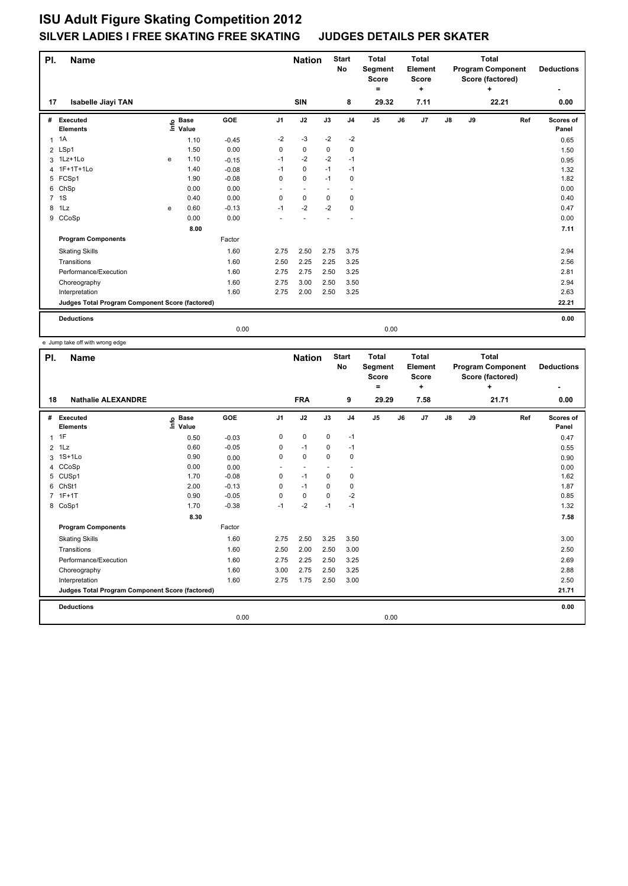| PI.            | <b>Name</b>                                     |      |                      |            |                | <b>Nation</b> |                          | <b>Start</b><br>No       | <b>Total</b><br>Segment<br><b>Score</b><br>$\equiv$ |    | <b>Total</b><br>Element<br><b>Score</b><br>٠ |               |    | <b>Total</b><br><b>Program Component</b><br>Score (factored)<br>÷ |     | <b>Deductions</b>  |
|----------------|-------------------------------------------------|------|----------------------|------------|----------------|---------------|--------------------------|--------------------------|-----------------------------------------------------|----|----------------------------------------------|---------------|----|-------------------------------------------------------------------|-----|--------------------|
| 17             | <b>Isabelle Jiayi TAN</b>                       |      |                      |            |                | <b>SIN</b>    |                          | 8                        | 29.32                                               |    | 7.11                                         |               |    | 22.21                                                             |     | 0.00               |
| #              | Executed<br><b>Elements</b>                     | ١nf٥ | <b>Base</b><br>Value | <b>GOE</b> | J <sub>1</sub> | J2            | J3                       | J <sub>4</sub>           | J5                                                  | J6 | J7                                           | $\mathsf{J}8$ | J9 |                                                                   | Ref | Scores of<br>Panel |
| $\mathbf{1}$   | 1A                                              |      | 1.10                 | $-0.45$    | $-2$           | $-3$          | $-2$                     | $-2$                     |                                                     |    |                                              |               |    |                                                                   |     | 0.65               |
|                | 2 LSp1                                          |      | 1.50                 | 0.00       | 0              | 0             | 0                        | $\mathbf 0$              |                                                     |    |                                              |               |    |                                                                   |     | 1.50               |
|                | 3 1Lz+1Lo                                       | e    | 1.10                 | $-0.15$    | $-1$           | $-2$          | $-2$                     | $-1$                     |                                                     |    |                                              |               |    |                                                                   |     | 0.95               |
| $\overline{4}$ | 1F+1T+1Lo                                       |      | 1.40                 | $-0.08$    | $-1$           | 0             | $-1$                     | $-1$                     |                                                     |    |                                              |               |    |                                                                   |     | 1.32               |
|                | 5 FCSp1                                         |      | 1.90                 | $-0.08$    | 0              | $\mathbf 0$   | $-1$                     | $\mathbf 0$              |                                                     |    |                                              |               |    |                                                                   |     | 1.82               |
| 6              | ChSp                                            |      | 0.00                 | 0.00       | ٠              | $\sim$        | $\overline{\phantom{a}}$ | $\overline{\phantom{a}}$ |                                                     |    |                                              |               |    |                                                                   |     | 0.00               |
|                | 7 1S                                            |      | 0.40                 | 0.00       | 0              | 0             | 0                        | $\mathbf 0$              |                                                     |    |                                              |               |    |                                                                   |     | 0.40               |
| 8              | 1Lz                                             | e    | 0.60                 | $-0.13$    | $-1$           | $-2$          | $-2$                     | 0                        |                                                     |    |                                              |               |    |                                                                   |     | 0.47               |
| 9              | CCoSp                                           |      | 0.00                 | 0.00       | ÷              |               |                          | $\overline{\phantom{a}}$ |                                                     |    |                                              |               |    |                                                                   |     | 0.00               |
|                |                                                 |      | 8.00                 |            |                |               |                          |                          |                                                     |    |                                              |               |    |                                                                   |     | 7.11               |
|                | <b>Program Components</b>                       |      |                      | Factor     |                |               |                          |                          |                                                     |    |                                              |               |    |                                                                   |     |                    |
|                | <b>Skating Skills</b>                           |      |                      | 1.60       | 2.75           | 2.50          | 2.75                     | 3.75                     |                                                     |    |                                              |               |    |                                                                   |     | 2.94               |
|                | Transitions                                     |      |                      | 1.60       | 2.50           | 2.25          | 2.25                     | 3.25                     |                                                     |    |                                              |               |    |                                                                   |     | 2.56               |
|                | Performance/Execution                           |      |                      | 1.60       | 2.75           | 2.75          | 2.50                     | 3.25                     |                                                     |    |                                              |               |    |                                                                   |     | 2.81               |
|                | Choreography                                    |      |                      | 1.60       | 2.75           | 3.00          | 2.50                     | 3.50                     |                                                     |    |                                              |               |    |                                                                   |     | 2.94               |
|                | Interpretation                                  |      |                      | 1.60       | 2.75           | 2.00          | 2.50                     | 3.25                     |                                                     |    |                                              |               |    |                                                                   |     | 2.63               |
|                | Judges Total Program Component Score (factored) |      |                      |            |                |               |                          |                          |                                                     |    |                                              |               |    |                                                                   |     | 22.21              |
|                | <b>Deductions</b>                               |      |                      |            |                |               |                          |                          |                                                     |    |                                              |               |    |                                                                   |     | 0.00               |
|                |                                                 |      |                      | 0.00       |                |               |                          |                          | 0.00                                                |    |                                              |               |    |                                                                   |     |                    |

e Jump take off with wrong edge

| PI.            | <b>Name</b>                                     |                              |         |                | <b>Nation</b>            |             | <b>Start</b><br><b>No</b> | <b>Total</b><br>Segment<br>Score<br>۰ | <b>Total</b><br>Element<br><b>Score</b><br>÷ |      |               |    | <b>Total</b><br><b>Program Component</b><br>Score (factored)<br>÷ | <b>Deductions</b><br>٠ |
|----------------|-------------------------------------------------|------------------------------|---------|----------------|--------------------------|-------------|---------------------------|---------------------------------------|----------------------------------------------|------|---------------|----|-------------------------------------------------------------------|------------------------|
| 18             | <b>Nathalie ALEXANDRE</b>                       |                              |         |                | <b>FRA</b>               |             | 9                         | 29.29                                 |                                              | 7.58 |               |    | 21.71                                                             | 0.00                   |
| #              | Executed<br><b>Elements</b>                     | <b>Base</b><br>lnfo<br>Value | GOE     | J <sub>1</sub> | J2                       | J3          | J <sub>4</sub>            | J <sub>5</sub>                        | J6                                           | J7   | $\mathsf{J}8$ | J9 | Ref                                                               | Scores of<br>Panel     |
| $\mathbf{1}$   | 1F                                              | 0.50                         | $-0.03$ | 0              | $\mathbf 0$              | $\mathbf 0$ | $-1$                      |                                       |                                              |      |               |    |                                                                   | 0.47                   |
| $\overline{2}$ | 1Lz                                             | 0.60                         | $-0.05$ | 0              | $-1$                     | 0           | $-1$                      |                                       |                                              |      |               |    |                                                                   | 0.55                   |
|                | 3 1S+1Lo                                        | 0.90                         | 0.00    | 0              | $\mathbf 0$              | $\Omega$    | 0                         |                                       |                                              |      |               |    |                                                                   | 0.90                   |
| 4              | CCoSp                                           | 0.00                         | 0.00    |                | $\overline{\phantom{a}}$ |             | $\overline{\phantom{a}}$  |                                       |                                              |      |               |    |                                                                   | 0.00                   |
| 5              | CUS <sub>p1</sub>                               | 1.70                         | $-0.08$ | 0              | $-1$                     | $\mathbf 0$ | $\pmb{0}$                 |                                       |                                              |      |               |    |                                                                   | 1.62                   |
| 6              | ChSt1                                           | 2.00                         | $-0.13$ | 0              | $-1$                     | $\mathbf 0$ | $\mathbf 0$               |                                       |                                              |      |               |    |                                                                   | 1.87                   |
| $\overline{7}$ | $1F+1T$                                         | 0.90                         | $-0.05$ | $\Omega$       | $\pmb{0}$                | $\Omega$    | $-2$                      |                                       |                                              |      |               |    |                                                                   | 0.85                   |
|                | 8 CoSp1                                         | 1.70                         | $-0.38$ | $-1$           | $-2$                     | $-1$        | $-1$                      |                                       |                                              |      |               |    |                                                                   | 1.32                   |
|                |                                                 | 8.30                         |         |                |                          |             |                           |                                       |                                              |      |               |    |                                                                   | 7.58                   |
|                | <b>Program Components</b>                       |                              | Factor  |                |                          |             |                           |                                       |                                              |      |               |    |                                                                   |                        |
|                | <b>Skating Skills</b>                           |                              | 1.60    | 2.75           | 2.50                     | 3.25        | 3.50                      |                                       |                                              |      |               |    |                                                                   | 3.00                   |
|                | Transitions                                     |                              | 1.60    | 2.50           | 2.00                     | 2.50        | 3.00                      |                                       |                                              |      |               |    |                                                                   | 2.50                   |
|                | Performance/Execution                           |                              | 1.60    | 2.75           | 2.25                     | 2.50        | 3.25                      |                                       |                                              |      |               |    |                                                                   | 2.69                   |
|                | Choreography                                    |                              | 1.60    | 3.00           | 2.75                     | 2.50        | 3.25                      |                                       |                                              |      |               |    |                                                                   | 2.88                   |
|                | Interpretation                                  |                              | 1.60    | 2.75           | 1.75                     | 2.50        | 3.00                      |                                       |                                              |      |               |    |                                                                   | 2.50                   |
|                | Judges Total Program Component Score (factored) |                              |         |                |                          |             |                           |                                       |                                              |      |               |    |                                                                   | 21.71                  |
|                | <b>Deductions</b>                               |                              |         |                |                          |             |                           |                                       |                                              |      |               |    |                                                                   | 0.00                   |
|                |                                                 |                              | 0.00    |                |                          |             |                           | 0.00                                  |                                              |      |               |    |                                                                   |                        |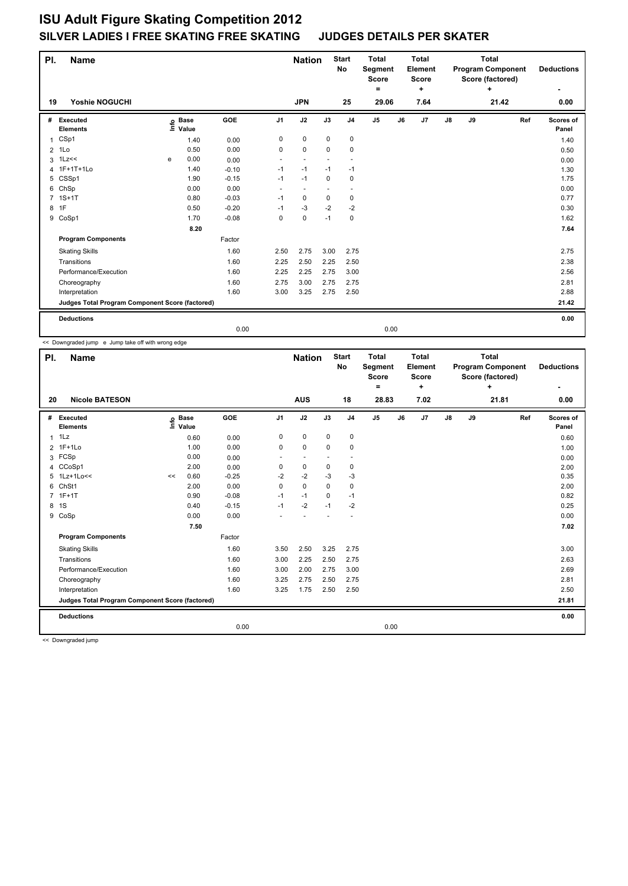| PI.            | <b>Name</b>                                     |   |                      |                 |                | <b>Nation</b>  |             | <b>Start</b><br><b>No</b> | <b>Total</b><br>Segment<br><b>Score</b><br>٠ |    | <b>Total</b><br>Element<br><b>Score</b><br>÷ | <b>Total</b><br><b>Program Component</b><br>Score (factored)<br>÷ |    |       |     | <b>Deductions</b>  |
|----------------|-------------------------------------------------|---|----------------------|-----------------|----------------|----------------|-------------|---------------------------|----------------------------------------------|----|----------------------------------------------|-------------------------------------------------------------------|----|-------|-----|--------------------|
| 19             | Yoshie NOGUCHI                                  |   |                      |                 |                | <b>JPN</b>     |             | 25                        | 29.06                                        |    | 7.64                                         |                                                                   |    | 21.42 |     | 0.00               |
| #              | <b>Executed</b><br><b>Elements</b>              | e | <b>Base</b><br>Value | GOE             | J <sub>1</sub> | J2             | J3          | J <sub>4</sub>            | J <sub>5</sub>                               | J6 | J7                                           | $\mathsf{J}8$                                                     | J9 |       | Ref | Scores of<br>Panel |
|                | CSp1                                            |   |                      |                 | 0              | $\mathbf 0$    | $\mathbf 0$ | $\pmb{0}$                 |                                              |    |                                              |                                                                   |    |       |     |                    |
| 1              |                                                 |   | 1.40<br>0.50         | 0.00            |                | $\mathbf 0$    |             |                           |                                              |    |                                              |                                                                   |    |       |     | 1.40               |
| $\overline{2}$ | 1Lo<br>$1$ Lz<<                                 | e | 0.00                 | 0.00            | 0<br>٠         | ٠              | 0           | 0<br>٠                    |                                              |    |                                              |                                                                   |    |       |     | 0.50               |
| 3<br>4         | 1F+1T+1Lo                                       |   | 1.40                 | 0.00<br>$-0.10$ | $-1$           | $-1$           | $-1$        | -1                        |                                              |    |                                              |                                                                   |    |       |     | 0.00<br>1.30       |
| 5              | CSSp1                                           |   | 1.90                 | $-0.15$         | $-1$           | $-1$           | $\mathbf 0$ | $\pmb{0}$                 |                                              |    |                                              |                                                                   |    |       |     | 1.75               |
| 6              | ChSp                                            |   | 0.00                 | 0.00            | ٠              | $\overline{a}$ |             | ٠                         |                                              |    |                                              |                                                                   |    |       |     | 0.00               |
| $\overline{7}$ | $1S+1T$                                         |   | 0.80                 | $-0.03$         | $-1$           | 0              | 0           | 0                         |                                              |    |                                              |                                                                   |    |       |     | 0.77               |
| 8              | 1F                                              |   | 0.50                 | $-0.20$         | $-1$           | -3             | $-2$        | $-2$                      |                                              |    |                                              |                                                                   |    |       |     | 0.30               |
|                | 9 CoSp1                                         |   | 1.70                 | $-0.08$         | 0              | $\mathbf 0$    | $-1$        | $\mathbf 0$               |                                              |    |                                              |                                                                   |    |       |     | 1.62               |
|                |                                                 |   | 8.20                 |                 |                |                |             |                           |                                              |    |                                              |                                                                   |    |       |     | 7.64               |
|                | <b>Program Components</b>                       |   |                      | Factor          |                |                |             |                           |                                              |    |                                              |                                                                   |    |       |     |                    |
|                |                                                 |   |                      |                 |                |                |             |                           |                                              |    |                                              |                                                                   |    |       |     |                    |
|                | <b>Skating Skills</b>                           |   |                      | 1.60            | 2.50           | 2.75           | 3.00        | 2.75                      |                                              |    |                                              |                                                                   |    |       |     | 2.75               |
|                | Transitions                                     |   |                      | 1.60            | 2.25           | 2.50           | 2.25        | 2.50                      |                                              |    |                                              |                                                                   |    |       |     | 2.38               |
|                | Performance/Execution                           |   |                      | 1.60            | 2.25           | 2.25           | 2.75        | 3.00                      |                                              |    |                                              |                                                                   |    |       |     | 2.56               |
|                | Choreography                                    |   |                      | 1.60            | 2.75           | 3.00           | 2.75        | 2.75                      |                                              |    |                                              |                                                                   |    |       |     | 2.81               |
|                | Interpretation                                  |   |                      | 1.60            | 3.00           | 3.25           | 2.75        | 2.50                      |                                              |    |                                              |                                                                   |    |       |     | 2.88               |
|                | Judges Total Program Component Score (factored) |   |                      |                 |                |                |             |                           |                                              |    |                                              |                                                                   |    |       |     | 21.42              |
|                | <b>Deductions</b>                               |   |                      |                 |                |                |             |                           |                                              |    |                                              |                                                                   |    |       |     | 0.00               |
|                |                                                 |   |                      | 0.00            |                |                |             |                           | 0.00                                         |    |                                              |                                                                   |    |       |     |                    |

<< Downgraded jump e Jump take off with wrong edge

| PI.            | <b>Name</b>                                     |                                  | <b>Nation</b>        |            | <b>Start</b><br>No | <b>Total</b><br>Segment<br><b>Score</b><br>۰ | <b>Total</b><br>Element<br><b>Score</b><br>÷ | <b>Total</b><br><b>Program Component</b><br>Score (factored)<br>÷ |                |    |       | <b>Deductions</b><br>٠ |       |  |     |                    |
|----------------|-------------------------------------------------|----------------------------------|----------------------|------------|--------------------|----------------------------------------------|----------------------------------------------|-------------------------------------------------------------------|----------------|----|-------|------------------------|-------|--|-----|--------------------|
| 20             | <b>Nicole BATESON</b>                           |                                  | <b>AUS</b>           |            | 18                 | 28.83                                        |                                              | 7.02                                                              |                |    | 21.81 |                        | 0.00  |  |     |                    |
| #              | Executed<br><b>Elements</b>                     | $\mathop{\mathsf{Irr}}\nolimits$ | <b>Base</b><br>Value | <b>GOE</b> | J <sub>1</sub>     | J2                                           | J3                                           | J <sub>4</sub>                                                    | J <sub>5</sub> | J6 | J7    | $\mathsf{J}8$          | J9    |  | Ref | Scores of<br>Panel |
| 1              | 1Lz                                             |                                  | 0.60                 | 0.00       | 0                  | $\mathbf 0$                                  | $\mathbf 0$                                  | 0                                                                 |                |    |       |                        |       |  |     | 0.60               |
| $\overline{2}$ | $1F+1Lo$                                        |                                  | 1.00                 | 0.00       | $\mathbf 0$        | $\pmb{0}$                                    | $\mathbf 0$                                  | $\mathbf 0$                                                       |                |    |       |                        |       |  |     | 1.00               |
| 3              | FCSp                                            |                                  | 0.00                 | 0.00       | ٠                  | $\overline{\phantom{a}}$                     | $\overline{\phantom{a}}$                     | $\overline{\phantom{a}}$                                          |                |    |       |                        |       |  |     | 0.00               |
| 4              | CCoSp1                                          |                                  | 2.00                 | 0.00       | 0                  | $\pmb{0}$                                    | $\mathbf 0$                                  | $\mathbf 0$                                                       |                |    |       |                        |       |  |     | 2.00               |
|                | 5 1Lz+1Lo<<                                     | <<                               | 0.60                 | $-0.25$    | $-2$               | $-2$                                         | $-3$                                         | $-3$                                                              |                |    |       |                        |       |  |     | 0.35               |
| 6              | ChSt1                                           |                                  | 2.00                 | 0.00       | 0                  | $\mathbf 0$                                  | $\mathbf 0$                                  | $\mathbf 0$                                                       |                |    |       |                        |       |  |     | 2.00               |
| $\overline{7}$ | $1F+1T$                                         |                                  | 0.90                 | $-0.08$    | $-1$               | $-1$                                         | 0                                            | $-1$                                                              |                |    |       |                        |       |  |     | 0.82               |
| 8              | 1S                                              |                                  | 0.40                 | $-0.15$    | $-1$               | $-2$                                         | $-1$                                         | $-2$                                                              |                |    |       |                        |       |  |     | 0.25               |
| 9              | CoSp                                            |                                  | 0.00                 | 0.00       |                    |                                              |                                              |                                                                   |                |    |       |                        |       |  |     | 0.00               |
|                |                                                 |                                  | 7.50                 |            |                    |                                              |                                              |                                                                   |                |    |       |                        |       |  |     | 7.02               |
|                | <b>Program Components</b>                       |                                  |                      | Factor     |                    |                                              |                                              |                                                                   |                |    |       |                        |       |  |     |                    |
|                | <b>Skating Skills</b>                           |                                  |                      | 1.60       | 3.50               | 2.50                                         | 3.25                                         | 2.75                                                              |                |    |       |                        |       |  |     | 3.00               |
|                | Transitions                                     |                                  |                      | 1.60       | 3.00               | 2.25                                         | 2.50                                         | 2.75                                                              |                |    |       |                        |       |  |     | 2.63               |
|                | Performance/Execution                           |                                  |                      | 1.60       | 3.00               | 2.00                                         | 2.75                                         | 3.00                                                              |                |    |       |                        |       |  |     | 2.69               |
|                | Choreography                                    |                                  |                      | 1.60       | 3.25               | 2.75                                         | 2.50                                         | 2.75                                                              |                |    |       |                        |       |  |     | 2.81               |
|                | Interpretation                                  |                                  |                      | 1.60       | 3.25               | 1.75                                         | 2.50                                         | 2.50                                                              |                |    |       |                        |       |  |     | 2.50               |
|                | Judges Total Program Component Score (factored) |                                  |                      |            |                    |                                              |                                              |                                                                   |                |    |       |                        | 21.81 |  |     |                    |
|                | <b>Deductions</b>                               |                                  |                      |            |                    |                                              |                                              |                                                                   |                |    |       |                        |       |  |     | 0.00               |
|                |                                                 |                                  |                      | 0.00       |                    |                                              |                                              |                                                                   | 0.00           |    |       |                        |       |  |     |                    |

<< Downgraded jump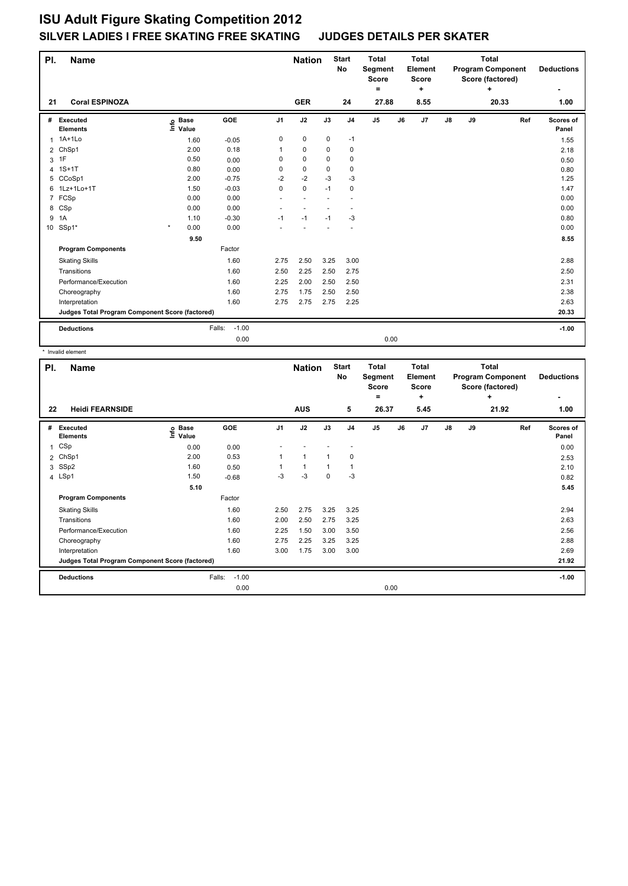| PI.            | <b>Name</b>                                     |                   |                   |                | <b>Nation</b>  |                | <b>Start</b><br><b>No</b> | <b>Total</b><br>Segment<br><b>Score</b><br>۰ |    | <b>Total</b><br>Element<br><b>Score</b><br>٠ | <b>Total</b><br><b>Program Component</b><br>Score (factored)<br>÷ |    |       | <b>Deductions</b> |                    |
|----------------|-------------------------------------------------|-------------------|-------------------|----------------|----------------|----------------|---------------------------|----------------------------------------------|----|----------------------------------------------|-------------------------------------------------------------------|----|-------|-------------------|--------------------|
| 21             | <b>Coral ESPINOZA</b>                           |                   |                   |                | <b>GER</b>     |                | 24                        | 27.88                                        |    | 8.55                                         |                                                                   |    | 20.33 |                   | 1.00               |
| #              | Executed<br><b>Elements</b>                     | e Base<br>⊑ Value | <b>GOE</b>        | J <sub>1</sub> | J2             | J3             | J <sub>4</sub>            | $\mathsf{J}5$                                | J6 | J7                                           | J8                                                                | J9 |       | Ref               | Scores of<br>Panel |
| $\overline{1}$ | $1A+1L0$                                        | 1.60              | $-0.05$           | 0              | $\mathbf 0$    | 0              | $-1$                      |                                              |    |                                              |                                                                   |    |       |                   | 1.55               |
|                | 2 ChSp1                                         | 2.00              | 0.18              |                | 0              | $\Omega$       | $\pmb{0}$                 |                                              |    |                                              |                                                                   |    |       |                   | 2.18               |
| 3              | 1F                                              | 0.50              | 0.00              | 0              | $\mathbf 0$    | $\Omega$       | 0                         |                                              |    |                                              |                                                                   |    |       |                   | 0.50               |
| 4              | $1S+1T$                                         | 0.80              | 0.00              | 0              | $\mathbf 0$    | 0              | 0                         |                                              |    |                                              |                                                                   |    |       |                   | 0.80               |
| 5              | CCoSp1                                          | 2.00              | $-0.75$           | $-2$           | $-2$           | $-3$           | $-3$                      |                                              |    |                                              |                                                                   |    |       |                   | 1.25               |
| 6              | 1Lz+1Lo+1T                                      | 1.50              | $-0.03$           | 0              | $\mathbf 0$    | $-1$           | $\mathbf 0$               |                                              |    |                                              |                                                                   |    |       |                   | 1.47               |
| $\overline{7}$ | FCSp                                            | 0.00              | 0.00              | ÷.             | $\overline{a}$ | $\overline{a}$ | ÷.                        |                                              |    |                                              |                                                                   |    |       |                   | 0.00               |
|                | 8 CSp                                           | 0.00              | 0.00              | ٠              |                |                |                           |                                              |    |                                              |                                                                   |    |       |                   | 0.00               |
| 9              | 1A                                              | 1.10              | $-0.30$           | $-1$           | $-1$           | $-1$           | $-3$                      |                                              |    |                                              |                                                                   |    |       |                   | 0.80               |
| 10             | SSp1*                                           | $\star$<br>0.00   | 0.00              |                |                |                |                           |                                              |    |                                              |                                                                   |    |       |                   | 0.00               |
|                |                                                 | 9.50              |                   |                |                |                |                           |                                              |    |                                              |                                                                   |    |       |                   | 8.55               |
|                | <b>Program Components</b>                       |                   | Factor            |                |                |                |                           |                                              |    |                                              |                                                                   |    |       |                   |                    |
|                | <b>Skating Skills</b>                           |                   | 1.60              | 2.75           | 2.50           | 3.25           | 3.00                      |                                              |    |                                              |                                                                   |    |       |                   | 2.88               |
|                | Transitions                                     |                   | 1.60              | 2.50           | 2.25           | 2.50           | 2.75                      |                                              |    |                                              |                                                                   |    |       |                   | 2.50               |
|                | Performance/Execution                           |                   | 1.60              | 2.25           | 2.00           | 2.50           | 2.50                      |                                              |    |                                              |                                                                   |    |       |                   | 2.31               |
|                | Choreography                                    |                   | 1.60              | 2.75           | 1.75           | 2.50           | 2.50                      |                                              |    |                                              |                                                                   |    |       |                   | 2.38               |
|                | Interpretation                                  |                   | 1.60              | 2.75           | 2.75           | 2.75           | 2.25                      |                                              |    |                                              |                                                                   |    |       |                   | 2.63               |
|                | Judges Total Program Component Score (factored) |                   |                   |                |                |                |                           |                                              |    |                                              |                                                                   |    |       |                   | 20.33              |
|                | <b>Deductions</b>                               |                   | $-1.00$<br>Falls: |                |                |                |                           |                                              |    |                                              |                                                                   |    |       |                   | $-1.00$            |
|                |                                                 |                   | 0.00              |                |                |                |                           | 0.00                                         |    |                                              |                                                                   |    |       |                   |                    |

\* Invalid element

| PI. | <b>Name</b>                                     |                   |                   | <b>Nation</b>  |                | <b>Start</b><br>No | <b>Total</b><br>Segment<br><b>Score</b><br>۰ |                | Total<br>Element<br><b>Score</b><br>+ | <b>Total</b><br><b>Program Component</b><br>Score (factored)<br>÷ |               |           | <b>Deductions</b> |                    |
|-----|-------------------------------------------------|-------------------|-------------------|----------------|----------------|--------------------|----------------------------------------------|----------------|---------------------------------------|-------------------------------------------------------------------|---------------|-----------|-------------------|--------------------|
| 22  | <b>Heidi FEARNSIDE</b>                          |                   |                   |                | <b>AUS</b>     |                    | 5                                            | 26.37          |                                       | 5.45                                                              |               |           | 21.92             | 1.00               |
| #   | <b>Executed</b><br><b>Elements</b>              | e Base<br>E Value | <b>GOE</b>        | J <sub>1</sub> | J2             | J3                 | J <sub>4</sub>                               | J <sub>5</sub> | J6                                    | J7                                                                | $\mathsf{J}8$ | <b>J9</b> | Ref               | Scores of<br>Panel |
| 1   | CSp                                             | 0.00              | 0.00              |                |                |                    |                                              |                |                                       |                                                                   |               |           |                   | 0.00               |
|     | 2 ChSp1                                         | 2.00              | 0.53              |                | 1              |                    | 0                                            |                |                                       |                                                                   |               |           |                   | 2.53               |
|     | 3 SSp2                                          | 1.60              | 0.50              |                | $\overline{1}$ |                    | -1                                           |                |                                       |                                                                   |               |           |                   | 2.10               |
|     | 4 LSp1                                          | 1.50              | $-0.68$           | -3             | $-3$           | $\mathbf 0$        | $-3$                                         |                |                                       |                                                                   |               |           |                   | 0.82               |
|     |                                                 | 5.10              |                   |                |                |                    |                                              |                |                                       |                                                                   |               |           |                   | 5.45               |
|     | <b>Program Components</b>                       |                   | Factor            |                |                |                    |                                              |                |                                       |                                                                   |               |           |                   |                    |
|     | <b>Skating Skills</b>                           |                   | 1.60              | 2.50           | 2.75           | 3.25               | 3.25                                         |                |                                       |                                                                   |               |           |                   | 2.94               |
|     | Transitions                                     |                   | 1.60              | 2.00           | 2.50           | 2.75               | 3.25                                         |                |                                       |                                                                   |               |           |                   | 2.63               |
|     | Performance/Execution                           |                   | 1.60              | 2.25           | 1.50           | 3.00               | 3.50                                         |                |                                       |                                                                   |               |           |                   | 2.56               |
|     | Choreography                                    |                   | 1.60              | 2.75           | 2.25           | 3.25               | 3.25                                         |                |                                       |                                                                   |               |           |                   | 2.88               |
|     | Interpretation                                  |                   | 1.60              | 3.00           | 1.75           | 3.00               | 3.00                                         |                |                                       |                                                                   |               |           |                   | 2.69               |
|     | Judges Total Program Component Score (factored) |                   |                   |                |                |                    |                                              |                |                                       |                                                                   |               |           |                   | 21.92              |
|     | <b>Deductions</b>                               |                   | Falls:<br>$-1.00$ |                |                |                    |                                              |                |                                       |                                                                   |               |           |                   | $-1.00$            |
|     |                                                 |                   | 0.00              |                |                |                    |                                              |                | 0.00                                  |                                                                   |               |           |                   |                    |